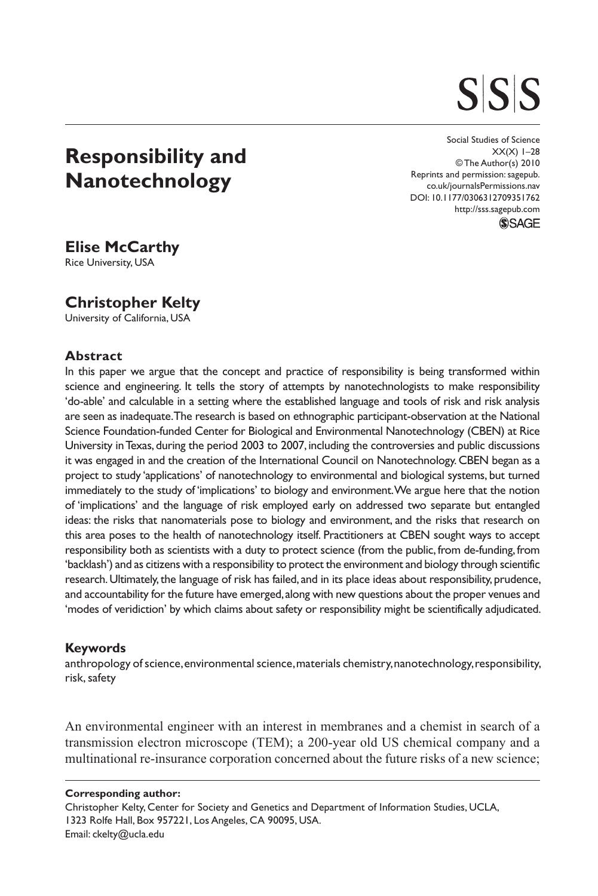**SSS** 

# **Responsibility and Nanotechnology**

Social Studies of Science  $XX(X)$  1–28 © The Author(s) 2010 Reprints and permission: sagepub. co.uk/journalsPermissions.nav DOI: 10.1177/0306312709351762 http://sss.sagepub.com**SSAGE** 

**Elise McCarthy** 

Rice University, USA

## **Christopher Kelty**

University of California, USA

## **Abstract**

In this paper we argue that the concept and practice of responsibility is being transformed within science and engineering. It tells the story of attempts by nanotechnologists to make responsibility 'do-able' and calculable in a setting where the established language and tools of risk and risk analysis are seen as inadequate. The research is based on ethnographic participant-observation at the National Science Foundation-funded Center for Biological and Environmental Nanotechnology (CBEN) at Rice University in Texas, during the period 2003 to 2007, including the controversies and public discussions it was engaged in and the creation of the International Council on Nanotechnology. CBEN began as a project to study 'applications' of nanotechnology to environmental and biological systems, but turned immediately to the study of 'implications' to biology and environment. We argue here that the notion of 'implications' and the language of risk employed early on addressed two separate but entangled ideas: the risks that nanomaterials pose to biology and environment, and the risks that research on this area poses to the health of nanotechnology itself. Practitioners at CBEN sought ways to accept responsibility both as scientists with a duty to protect science (from the public, from de-funding, from 'backlash') and as citizens with a responsibility to protect the environment and biology through scientific research. Ultimately, the language of risk has failed, and in its place ideas about responsibility, prudence, and accountability for the future have emerged, along with new questions about the proper venues and 'modes of veridiction' by which claims about safety or responsibility might be scientifically adjudicated.

## **Keywords**

anthropology of science, environmental science, materials chemistry, nanotechnology, responsibility, risk, safety

An environmental engineer with an interest in membranes and a chemist in search of a transmission electron microscope (TEM); a 200-year old US chemical company and a multinational re-insurance corporation concerned about the future risks of a new science;

#### **Corresponding author:**

Christopher Kelty, Center for Society and Genetics and Department of Information Studies, UCLA, 1323 Rolfe Hall, Box 957221, Los Angeles, CA 90095, USA. Email: ckelty@ucla.edu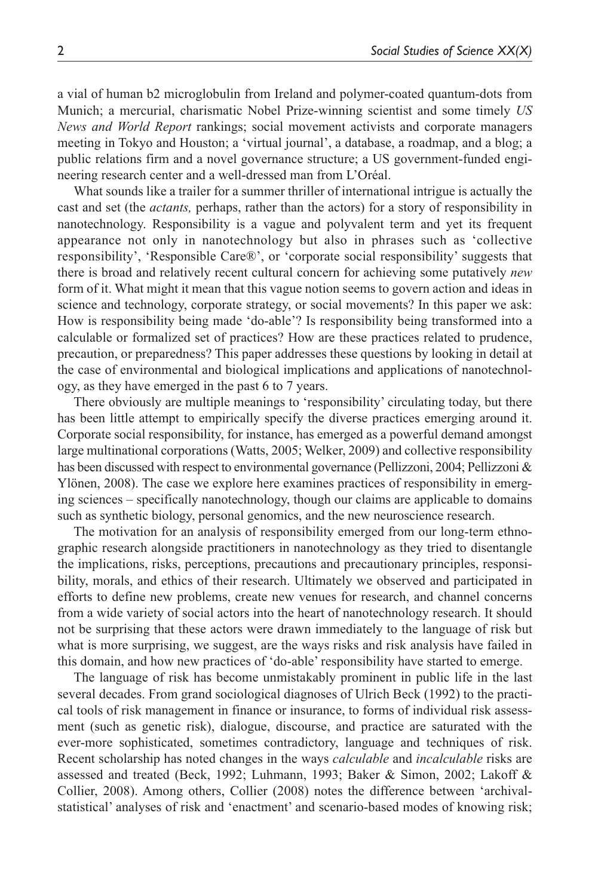a vial of human b2 microglobulin from Ireland and polymer-coated quantum-dots from Munich; a mercurial, charismatic Nobel Prize-winning scientist and some timely *US News and World Report* rankings; social movement activists and corporate managers meeting in Tokyo and Houston; a 'virtual journal', a database, a roadmap, and a blog; a public relations firm and a novel governance structure; a US government-funded engineering research center and a well-dressed man from L'Oréal.

What sounds like a trailer for a summer thriller of international intrigue is actually the cast and set (the *actants,* perhaps, rather than the actors) for a story of responsibility in nanotechnology. Responsibility is a vague and polyvalent term and yet its frequent appearance not only in nanotechnology but also in phrases such as 'collective responsibility', 'Responsible Care®', or 'corporate social responsibility' suggests that there is broad and relatively recent cultural concern for achieving some putatively *new* form of it. What might it mean that this vague notion seems to govern action and ideas in science and technology, corporate strategy, or social movements? In this paper we ask: How is responsibility being made 'do-able'? Is responsibility being transformed into a calculable or formalized set of practices? How are these practices related to prudence, precaution, or preparedness? This paper addresses these questions by looking in detail at the case of environmental and biological implications and applications of nanotechnology, as they have emerged in the past 6 to 7 years.

There obviously are multiple meanings to 'responsibility' circulating today, but there has been little attempt to empirically specify the diverse practices emerging around it. Corporate social responsibility, for instance, has emerged as a powerful demand amongst large multinational corporations (Watts, 2005; Welker, 2009) and collective responsibility has been discussed with respect to environmental governance (Pellizzoni, 2004; Pellizzoni & Ylönen, 2008). The case we explore here examines practices of responsibility in emerging sciences – specifically nanotechnology, though our claims are applicable to domains such as synthetic biology, personal genomics, and the new neuroscience research.

The motivation for an analysis of responsibility emerged from our long-term ethnographic research alongside practitioners in nanotechnology as they tried to disentangle the implications, risks, perceptions, precautions and precautionary principles, responsibility, morals, and ethics of their research. Ultimately we observed and participated in efforts to define new problems, create new venues for research, and channel concerns from a wide variety of social actors into the heart of nanotechnology research. It should not be surprising that these actors were drawn immediately to the language of risk but what is more surprising, we suggest, are the ways risks and risk analysis have failed in this domain, and how new practices of 'do-able' responsibility have started to emerge.

The language of risk has become unmistakably prominent in public life in the last several decades. From grand sociological diagnoses of Ulrich Beck (1992) to the practical tools of risk management in finance or insurance, to forms of individual risk assessment (such as genetic risk), dialogue, discourse, and practice are saturated with the ever-more sophisticated, sometimes contradictory, language and techniques of risk. Recent scholarship has noted changes in the ways *calculable* and *incalculable* risks are assessed and treated (Beck, 1992; Luhmann, 1993; Baker & Simon, 2002; Lakoff & Collier, 2008). Among others, Collier (2008) notes the difference between 'archivalstatistical' analyses of risk and 'enactment' and scenario-based modes of knowing risk;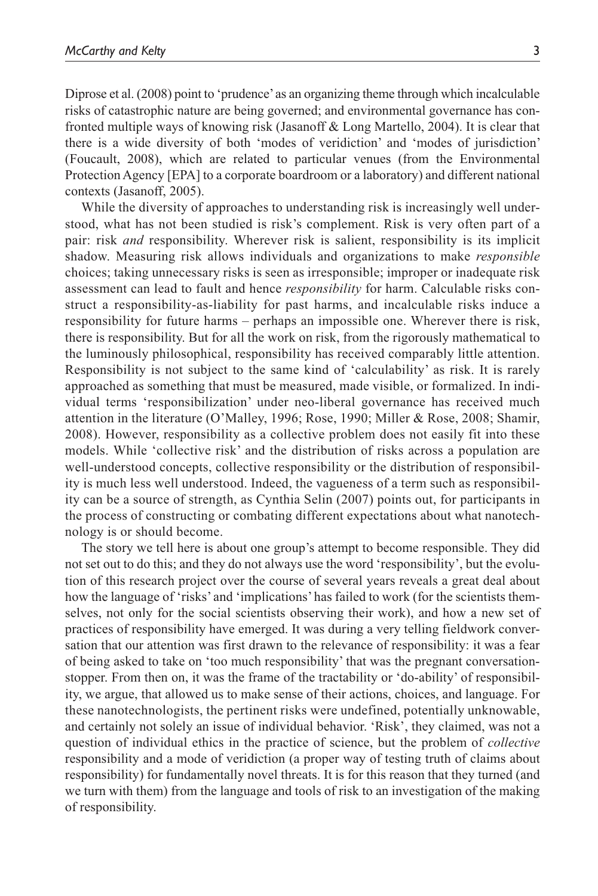Diprose et al. (2008) point to 'prudence' as an organizing theme through which incalculable risks of catastrophic nature are being governed; and environmental governance has confronted multiple ways of knowing risk (Jasanoff & Long Martello, 2004). It is clear that there is a wide diversity of both 'modes of veridiction' and 'modes of jurisdiction' (Foucault, 2008), which are related to particular venues (from the Environmental Protection Agency [EPA] to a corporate boardroom or a laboratory) and different national contexts (Jasanoff, 2005).

While the diversity of approaches to understanding risk is increasingly well understood, what has not been studied is risk's complement. Risk is very often part of a pair: risk *and* responsibility. Wherever risk is salient, responsibility is its implicit shadow. Measuring risk allows individuals and organizations to make *responsible* choices; taking unnecessary risks is seen as irresponsible; improper or inadequate risk assessment can lead to fault and hence *responsibility* for harm. Calculable risks construct a responsibility-as-liability for past harms, and incalculable risks induce a responsibility for future harms – perhaps an impossible one. Wherever there is risk, there is responsibility. But for all the work on risk, from the rigorously mathematical to the luminously philosophical, responsibility has received comparably little attention. Responsibility is not subject to the same kind of 'calculability' as risk. It is rarely approached as something that must be measured, made visible, or formalized. In individual terms 'responsibilization' under neo-liberal governance has received much attention in the literature (O'Malley, 1996; Rose, 1990; Miller & Rose, 2008; Shamir, 2008). However, responsibility as a collective problem does not easily fit into these models. While 'collective risk' and the distribution of risks across a population are well-understood concepts, collective responsibility or the distribution of responsibility is much less well understood. Indeed, the vagueness of a term such as responsibility can be a source of strength, as Cynthia Selin (2007) points out, for participants in the process of constructing or combating different expectations about what nanotechnology is or should become.

The story we tell here is about one group's attempt to become responsible. They did not set out to do this; and they do not always use the word 'responsibility', but the evolution of this research project over the course of several years reveals a great deal about how the language of 'risks' and 'implications' has failed to work (for the scientists themselves, not only for the social scientists observing their work), and how a new set of practices of responsibility have emerged. It was during a very telling fieldwork conversation that our attention was first drawn to the relevance of responsibility: it was a fear of being asked to take on 'too much responsibility' that was the pregnant conversationstopper. From then on, it was the frame of the tractability or 'do-ability' of responsibility, we argue, that allowed us to make sense of their actions, choices, and language. For these nanotechnologists, the pertinent risks were undefined, potentially unknowable, and certainly not solely an issue of individual behavior. 'Risk', they claimed, was not a question of individual ethics in the practice of science, but the problem of *collective* responsibility and a mode of veridiction (a proper way of testing truth of claims about responsibility) for fundamentally novel threats. It is for this reason that they turned (and we turn with them) from the language and tools of risk to an investigation of the making of responsibility.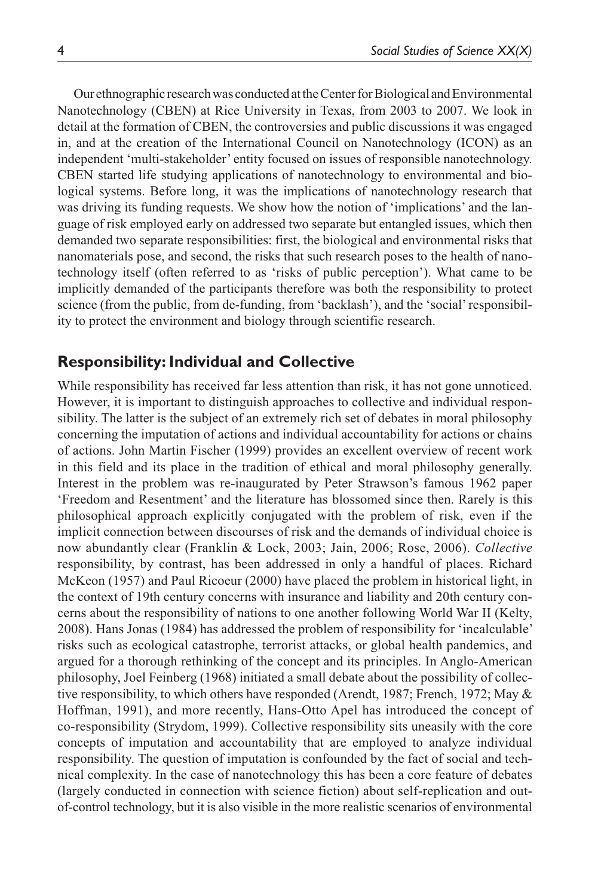Our ethnographic research was conducted at the Center for Biological and Environmental Nanotechnology (CBEN) at Rice University in Texas, from 2003 to 2007. We look in detail at the formation of CBEN, the controversies and public discussions it was engaged in, and at the creation of the International Council on Nanotechnology (ICON) as an independent 'multi-stakeholder' entity focused on issues of responsible nanotechnology. CBEN started life studying applications of nanotechnology to environmental and biological systems. Before long, it was the implications of nanotechnology research that was driving its funding requests. We show how the notion of 'implications' and the language of risk employed early on addressed two separate but entangled issues, which then demanded two separate responsibilities: first, the biological and environmental risks that nanomaterials pose, and second, the risks that such research poses to the health of nanotechnology itself (often referred to as 'risks of public perception'). What came to be implicitly demanded of the participants therefore was both the responsibility to protect science (from the public, from de-funding, from 'backlash'), and the 'social' responsibility to protect the environment and biology through scientific research.

## **Responsibility: Individual and Collective**

While responsibility has received far less attention than risk, it has not gone unnoticed. However, it is important to distinguish approaches to collective and individual responsibility. The latter is the subject of an extremely rich set of debates in moral philosophy concerning the imputation of actions and individual accountability for actions or chains of actions. John Martin Fischer (1999) provides an excellent overview of recent work in this field and its place in the tradition of ethical and moral philosophy generally. Interest in the problem was re-inaugurated by Peter Strawson's famous 1962 paper 'Freedom and Resentment' and the literature has blossomed since then. Rarely is this philosophical approach explicitly conjugated with the problem of risk, even if the implicit connection between discourses of risk and the demands of individual choice is now abundantly clear (Franklin & Lock, 2003; Jain, 2006; Rose, 2006). *Collective*  responsibility, by contrast, has been addressed in only a handful of places. Richard McKeon (1957) and Paul Ricoeur (2000) have placed the problem in historical light, in the context of 19th century concerns with insurance and liability and 20th century concerns about the responsibility of nations to one another following World War II (Kelty, 2008). Hans Jonas (1984) has addressed the problem of responsibility for 'incalculable' risks such as ecological catastrophe, terrorist attacks, or global health pandemics, and argued for a thorough rethinking of the concept and its principles. In Anglo-American philosophy, Joel Feinberg (1968) initiated a small debate about the possibility of collective responsibility, to which others have responded (Arendt, 1987; French, 1972; May & Hoffman, 1991), and more recently, Hans-Otto Apel has introduced the concept of co-responsibility (Strydom, 1999). Collective responsibility sits uneasily with the core concepts of imputation and accountability that are employed to analyze individual responsibility. The question of imputation is confounded by the fact of social and technical complexity. In the case of nanotechnology this has been a core feature of debates (largely conducted in connection with science fiction) about self-replication and outof-control technology, but it is also visible in the more realistic scenarios of environmental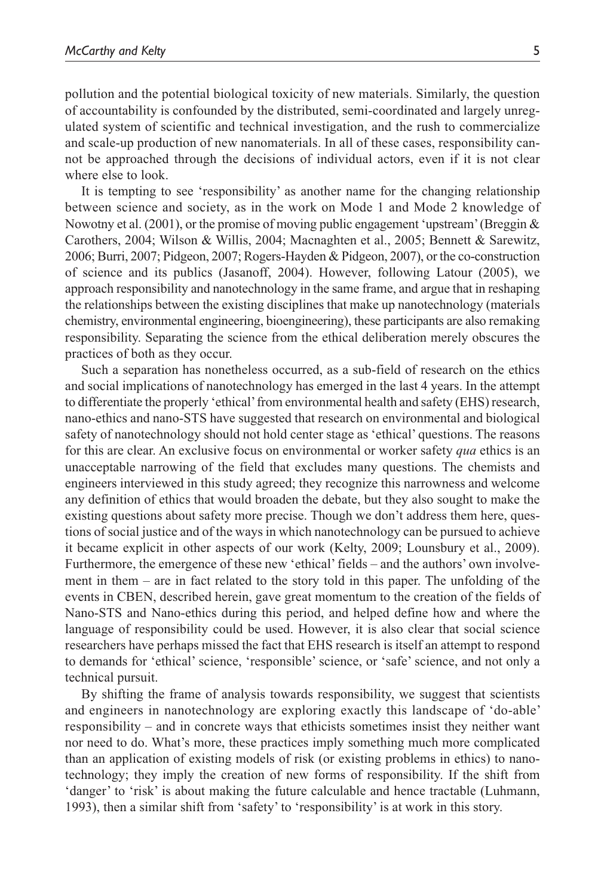pollution and the potential biological toxicity of new materials. Similarly, the question of accountability is confounded by the distributed, semi-coordinated and largely unregulated system of scientific and technical investigation, and the rush to commercialize and scale-up production of new nanomaterials. In all of these cases, responsibility cannot be approached through the decisions of individual actors, even if it is not clear where else to look.

It is tempting to see 'responsibility' as another name for the changing relationship between science and society, as in the work on Mode 1 and Mode 2 knowledge of Nowotny et al. (2001), or the promise of moving public engagement 'upstream' (Breggin & Carothers, 2004; Wilson & Willis, 2004; Macnaghten et al., 2005; Bennett & Sarewitz, 2006; Burri, 2007; Pidgeon, 2007; Rogers-Hayden & Pidgeon, 2007), or the co-construction of science and its publics (Jasanoff, 2004). However, following Latour (2005), we approach responsibility and nanotechnology in the same frame, and argue that in reshaping the relationships between the existing disciplines that make up nanotechnology (materials chemistry, environmental engineering, bioengineering), these participants are also remaking responsibility. Separating the science from the ethical deliberation merely obscures the practices of both as they occur.

Such a separation has nonetheless occurred, as a sub-field of research on the ethics and social implications of nanotechnology has emerged in the last 4 years. In the attempt to differentiate the properly 'ethical' from environmental health and safety (EHS) research, nano-ethics and nano-STS have suggested that research on environmental and biological safety of nanotechnology should not hold center stage as 'ethical' questions. The reasons for this are clear. An exclusive focus on environmental or worker safety *qua* ethics is an unacceptable narrowing of the field that excludes many questions. The chemists and engineers interviewed in this study agreed; they recognize this narrowness and welcome any definition of ethics that would broaden the debate, but they also sought to make the existing questions about safety more precise. Though we don't address them here, questions of social justice and of the ways in which nanotechnology can be pursued to achieve it became explicit in other aspects of our work (Kelty, 2009; Lounsbury et al., 2009). Furthermore, the emergence of these new 'ethical' fields – and the authors' own involvement in them – are in fact related to the story told in this paper. The unfolding of the events in CBEN, described herein, gave great momentum to the creation of the fields of Nano-STS and Nano-ethics during this period, and helped define how and where the language of responsibility could be used. However, it is also clear that social science researchers have perhaps missed the fact that EHS research is itself an attempt to respond to demands for 'ethical' science, 'responsible' science, or 'safe' science, and not only a technical pursuit.

By shifting the frame of analysis towards responsibility, we suggest that scientists and engineers in nanotechnology are exploring exactly this landscape of 'do-able' responsibility – and in concrete ways that ethicists sometimes insist they neither want nor need to do. What's more, these practices imply something much more complicated than an application of existing models of risk (or existing problems in ethics) to nanotechnology; they imply the creation of new forms of responsibility. If the shift from 'danger' to 'risk' is about making the future calculable and hence tractable (Luhmann, 1993), then a similar shift from 'safety' to 'responsibility' is at work in this story.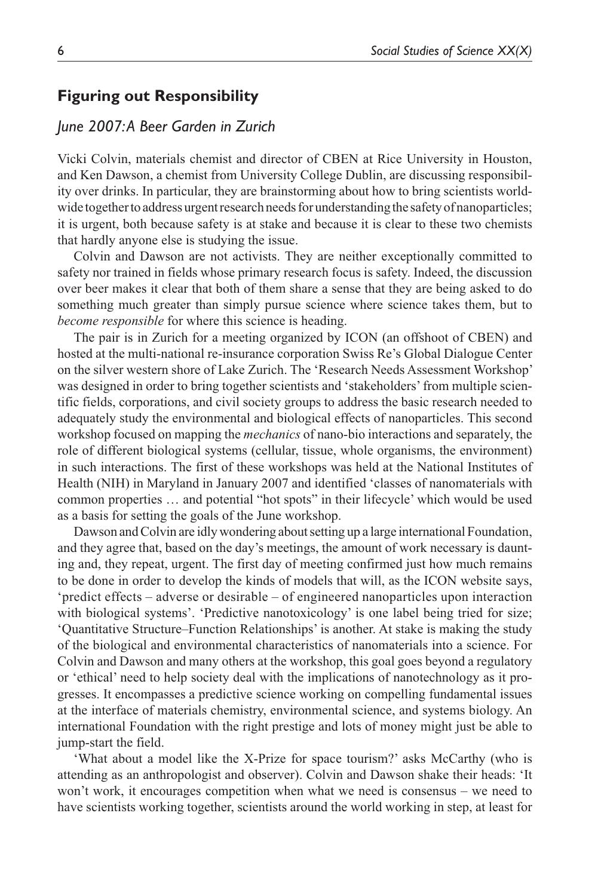## **Figuring out Responsibility**

## *June 2007: A Beer Garden in Zurich*

Vicki Colvin, materials chemist and director of CBEN at Rice University in Houston, and Ken Dawson, a chemist from University College Dublin, are discussing responsibility over drinks. In particular, they are brainstorming about how to bring scientists worldwide together to address urgent research needs for understanding the safety of nanoparticles; it is urgent, both because safety is at stake and because it is clear to these two chemists that hardly anyone else is studying the issue.

Colvin and Dawson are not activists. They are neither exceptionally committed to safety nor trained in fields whose primary research focus is safety. Indeed, the discussion over beer makes it clear that both of them share a sense that they are being asked to do something much greater than simply pursue science where science takes them, but to *become responsible* for where this science is heading.

The pair is in Zurich for a meeting organized by ICON (an offshoot of CBEN) and hosted at the multi-national re-insurance corporation Swiss Re's Global Dialogue Center on the silver western shore of Lake Zurich. The 'Research Needs Assessment Workshop' was designed in order to bring together scientists and 'stakeholders' from multiple scientific fields, corporations, and civil society groups to address the basic research needed to adequately study the environmental and biological effects of nanoparticles. This second workshop focused on mapping the *mechanics* of nano-bio interactions and separately, the role of different biological systems (cellular, tissue, whole organisms, the environment) in such interactions. The first of these workshops was held at the National Institutes of Health (NIH) in Maryland in January 2007 and identified 'classes of nanomaterials with common properties … and potential "hot spots" in their lifecycle' which would be used as a basis for setting the goals of the June workshop.

Dawson and Colvin are idly wondering about setting up a large international Foundation, and they agree that, based on the day's meetings, the amount of work necessary is daunting and, they repeat, urgent. The first day of meeting confirmed just how much remains to be done in order to develop the kinds of models that will, as the ICON website says, 'predict effects – adverse or desirable – of engineered nanoparticles upon interaction with biological systems'. 'Predictive nanotoxicology' is one label being tried for size; 'Quantitative Structure–Function Relationships' is another. At stake is making the study of the biological and environmental characteristics of nanomaterials into a science. For Colvin and Dawson and many others at the workshop, this goal goes beyond a regulatory or 'ethical' need to help society deal with the implications of nanotechnology as it progresses. It encompasses a predictive science working on compelling fundamental issues at the interface of materials chemistry, environmental science, and systems biology. An international Foundation with the right prestige and lots of money might just be able to jump-start the field.

'What about a model like the X-Prize for space tourism?' asks McCarthy (who is attending as an anthropologist and observer). Colvin and Dawson shake their heads: 'It won't work, it encourages competition when what we need is consensus – we need to have scientists working together, scientists around the world working in step, at least for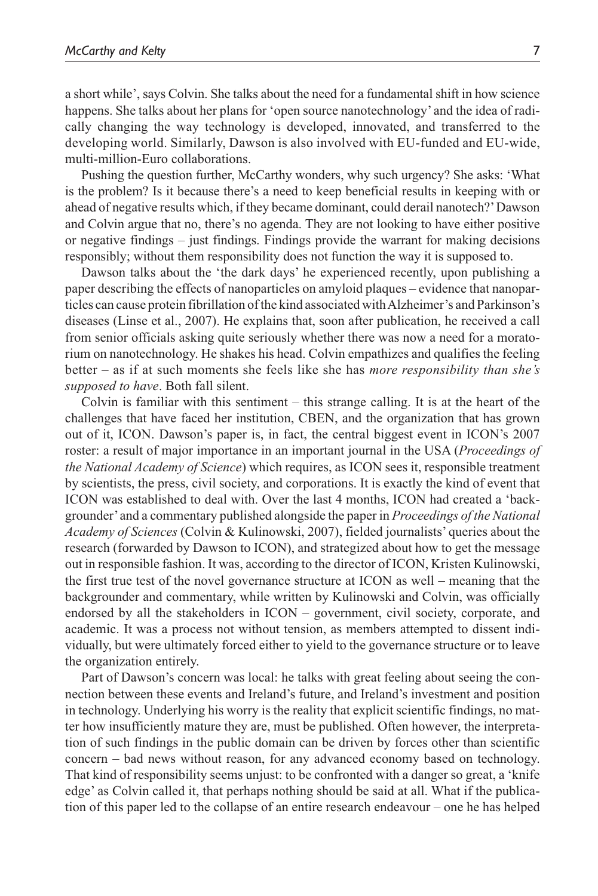a short while', says Colvin. She talks about the need for a fundamental shift in how science happens. She talks about her plans for 'open source nanotechnology' and the idea of radically changing the way technology is developed, innovated, and transferred to the developing world. Similarly, Dawson is also involved with EU-funded and EU-wide, multi-million-Euro collaborations.

Pushing the question further, McCarthy wonders, why such urgency? She asks: 'What is the problem? Is it because there's a need to keep beneficial results in keeping with or ahead of negative results which, if they became dominant, could derail nanotech?' Dawson and Colvin argue that no, there's no agenda. They are not looking to have either positive or negative findings – just findings. Findings provide the warrant for making decisions responsibly; without them responsibility does not function the way it is supposed to.

Dawson talks about the 'the dark days' he experienced recently, upon publishing a paper describing the effects of nanoparticles on amyloid plaques – evidence that nanoparticles can cause protein fibrillation of the kind associated with Alzheimer's and Parkinson's diseases (Linse et al., 2007). He explains that, soon after publication, he received a call from senior officials asking quite seriously whether there was now a need for a moratorium on nanotechnology. He shakes his head. Colvin empathizes and qualifies the feeling better – as if at such moments she feels like she has *more responsibility than she's supposed to have*. Both fall silent.

Colvin is familiar with this sentiment – this strange calling. It is at the heart of the challenges that have faced her institution, CBEN, and the organization that has grown out of it, ICON. Dawson's paper is, in fact, the central biggest event in ICON's 2007 roster: a result of major importance in an important journal in the USA (*Proceedings of the National Academy of Science*) which requires, as ICON sees it, responsible treatment by scientists, the press, civil society, and corporations. It is exactly the kind of event that ICON was established to deal with. Over the last 4 months, ICON had created a 'backgrounder' and a commentary published alongside the paper in *Proceedings of the National Academy of Sciences* (Colvin & Kulinowski, 2007), fielded journalists' queries about the research (forwarded by Dawson to ICON), and strategized about how to get the message out in responsible fashion. It was, according to the director of ICON, Kristen Kulinowski, the first true test of the novel governance structure at ICON as well – meaning that the backgrounder and commentary, while written by Kulinowski and Colvin, was officially endorsed by all the stakeholders in ICON – government, civil society, corporate, and academic. It was a process not without tension, as members attempted to dissent individually, but were ultimately forced either to yield to the governance structure or to leave the organization entirely.

Part of Dawson's concern was local: he talks with great feeling about seeing the connection between these events and Ireland's future, and Ireland's investment and position in technology. Underlying his worry is the reality that explicit scientific findings, no matter how insufficiently mature they are, must be published. Often however, the interpretation of such findings in the public domain can be driven by forces other than scientific concern – bad news without reason, for any advanced economy based on technology. That kind of responsibility seems unjust: to be confronted with a danger so great, a 'knife edge' as Colvin called it, that perhaps nothing should be said at all. What if the publication of this paper led to the collapse of an entire research endeavour – one he has helped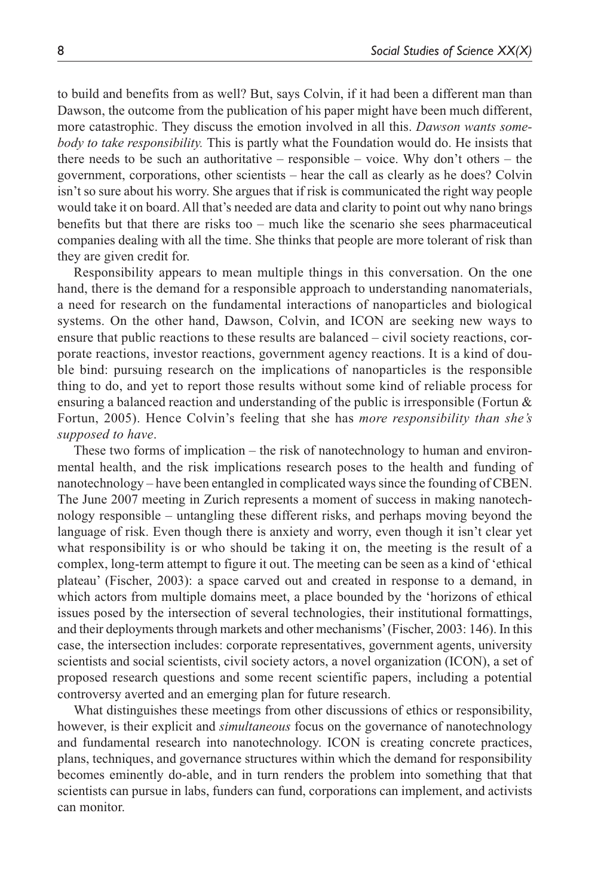to build and benefits from as well? But, says Colvin, if it had been a different man than Dawson, the outcome from the publication of his paper might have been much different, more catastrophic. They discuss the emotion involved in all this. *Dawson wants somebody to take responsibility.* This is partly what the Foundation would do. He insists that there needs to be such an authoritative – responsible – voice. Why don't others – the government, corporations, other scientists – hear the call as clearly as he does? Colvin isn't so sure about his worry. She argues that if risk is communicated the right way people would take it on board. All that's needed are data and clarity to point out why nano brings benefits but that there are risks too – much like the scenario she sees pharmaceutical companies dealing with all the time. She thinks that people are more tolerant of risk than they are given credit for.

Responsibility appears to mean multiple things in this conversation. On the one hand, there is the demand for a responsible approach to understanding nanomaterials, a need for research on the fundamental interactions of nanoparticles and biological systems. On the other hand, Dawson, Colvin, and ICON are seeking new ways to ensure that public reactions to these results are balanced – civil society reactions, corporate reactions, investor reactions, government agency reactions. It is a kind of double bind: pursuing research on the implications of nanoparticles is the responsible thing to do, and yet to report those results without some kind of reliable process for ensuring a balanced reaction and understanding of the public is irresponsible (Fortun  $\&$ Fortun, 2005). Hence Colvin's feeling that she has *more responsibility than she's supposed to have*.

These two forms of implication – the risk of nanotechnology to human and environmental health, and the risk implications research poses to the health and funding of nanotechnology – have been entangled in complicated ways since the founding of CBEN. The June 2007 meeting in Zurich represents a moment of success in making nanotechnology responsible – untangling these different risks, and perhaps moving beyond the language of risk. Even though there is anxiety and worry, even though it isn't clear yet what responsibility is or who should be taking it on, the meeting is the result of a complex, long-term attempt to figure it out. The meeting can be seen as a kind of 'ethical plateau' (Fischer, 2003): a space carved out and created in response to a demand, in which actors from multiple domains meet, a place bounded by the 'horizons of ethical issues posed by the intersection of several technologies, their institutional formattings, and their deployments through markets and other mechanisms' (Fischer, 2003: 146). In this case, the intersection includes: corporate representatives, government agents, university scientists and social scientists, civil society actors, a novel organization (ICON), a set of proposed research questions and some recent scientific papers, including a potential controversy averted and an emerging plan for future research.

What distinguishes these meetings from other discussions of ethics or responsibility, however, is their explicit and *simultaneous* focus on the governance of nanotechnology and fundamental research into nanotechnology. ICON is creating concrete practices, plans, techniques, and governance structures within which the demand for responsibility becomes eminently do-able, and in turn renders the problem into something that that scientists can pursue in labs, funders can fund, corporations can implement, and activists can monitor.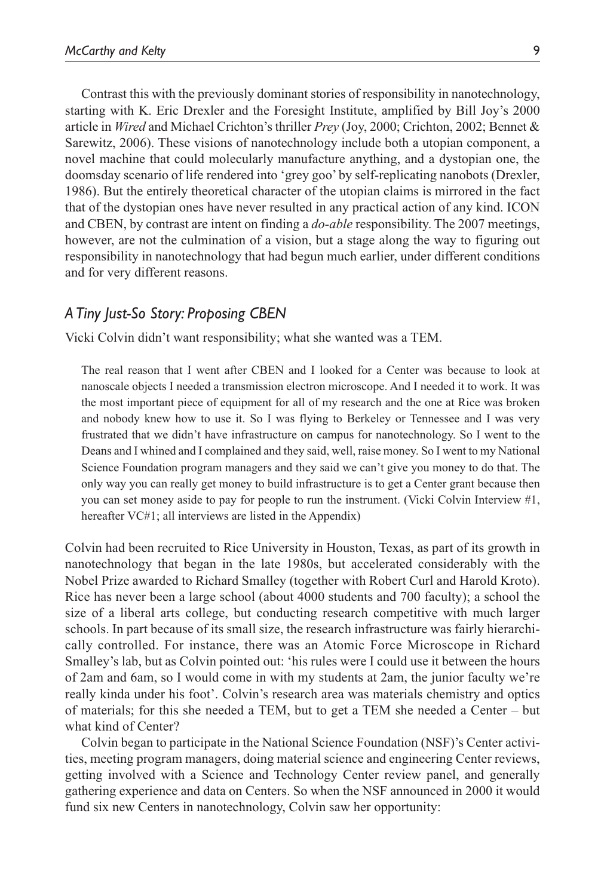Contrast this with the previously dominant stories of responsibility in nanotechnology, starting with K. Eric Drexler and the Foresight Institute, amplified by Bill Joy's 2000 article in *Wired* and Michael Crichton's thriller *Prey* (Joy, 2000; Crichton, 2002; Bennet & Sarewitz, 2006). These visions of nanotechnology include both a utopian component, a novel machine that could molecularly manufacture anything, and a dystopian one, the doomsday scenario of life rendered into 'grey goo' by self-replicating nanobots (Drexler, 1986). But the entirely theoretical character of the utopian claims is mirrored in the fact that of the dystopian ones have never resulted in any practical action of any kind. ICON and CBEN, by contrast are intent on finding a *do-able* responsibility. The 2007 meetings, however, are not the culmination of a vision, but a stage along the way to figuring out responsibility in nanotechnology that had begun much earlier, under different conditions and for very different reasons.

## *A Tiny Just-So Story: Proposing CBEN*

Vicki Colvin didn't want responsibility; what she wanted was a TEM.

The real reason that I went after CBEN and I looked for a Center was because to look at nanoscale objects I needed a transmission electron microscope. And I needed it to work. It was the most important piece of equipment for all of my research and the one at Rice was broken and nobody knew how to use it. So I was flying to Berkeley or Tennessee and I was very frustrated that we didn't have infrastructure on campus for nanotechnology. So I went to the Deans and I whined and I complained and they said, well, raise money. So I went to my National Science Foundation program managers and they said we can't give you money to do that. The only way you can really get money to build infrastructure is to get a Center grant because then you can set money aside to pay for people to run the instrument. (Vicki Colvin Interview #1, hereafter VC#1; all interviews are listed in the Appendix)

Colvin had been recruited to Rice University in Houston, Texas, as part of its growth in nanotechnology that began in the late 1980s, but accelerated considerably with the Nobel Prize awarded to Richard Smalley (together with Robert Curl and Harold Kroto). Rice has never been a large school (about 4000 students and 700 faculty); a school the size of a liberal arts college, but conducting research competitive with much larger schools. In part because of its small size, the research infrastructure was fairly hierarchically controlled. For instance, there was an Atomic Force Microscope in Richard Smalley's lab, but as Colvin pointed out: 'his rules were I could use it between the hours of 2am and 6am, so I would come in with my students at 2am, the junior faculty we're really kinda under his foot'. Colvin's research area was materials chemistry and optics of materials; for this she needed a TEM, but to get a TEM she needed a Center – but what kind of Center?

Colvin began to participate in the National Science Foundation (NSF)'s Center activities, meeting program managers, doing material science and engineering Center reviews, getting involved with a Science and Technology Center review panel, and generally gathering experience and data on Centers. So when the NSF announced in 2000 it would fund six new Centers in nanotechnology, Colvin saw her opportunity: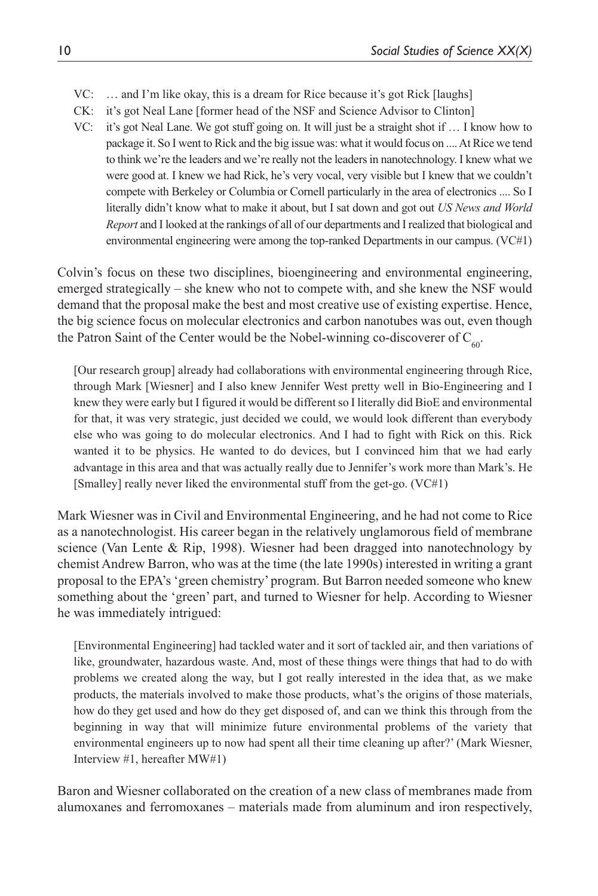- VC: … and I'm like okay, this is a dream for Rice because it's got Rick [laughs]
- CK: it's got Neal Lane [former head of the NSF and Science Advisor to Clinton]
- VC: it's got Neal Lane. We got stuff going on. It will just be a straight shot if … I know how to package it. So I went to Rick and the big issue was: what it would focus on .... At Rice we tend to think we're the leaders and we're really not the leaders in nanotechnology. I knew what we were good at. I knew we had Rick, he's very vocal, very visible but I knew that we couldn't compete with Berkeley or Columbia or Cornell particularly in the area of electronics .... So I literally didn't know what to make it about, but I sat down and got out *US News and World Report* and I looked at the rankings of all of our departments and I realized that biological and environmental engineering were among the top-ranked Departments in our campus. (VC#1)

Colvin's focus on these two disciplines, bioengineering and environmental engineering, emerged strategically – she knew who not to compete with, and she knew the NSF would demand that the proposal make the best and most creative use of existing expertise. Hence, the big science focus on molecular electronics and carbon nanotubes was out, even though the Patron Saint of the Center would be the Nobel-winning co-discoverer of  $C_{\alpha}$ .

[Our research group] already had collaborations with environmental engineering through Rice, through Mark [Wiesner] and I also knew Jennifer West pretty well in Bio-Engineering and I knew they were early but I figured it would be different so I literally did BioE and environmental for that, it was very strategic, just decided we could, we would look different than everybody else who was going to do molecular electronics. And I had to fight with Rick on this. Rick wanted it to be physics. He wanted to do devices, but I convinced him that we had early advantage in this area and that was actually really due to Jennifer's work more than Mark's. He [Smalley] really never liked the environmental stuff from the get-go. (VC#1)

Mark Wiesner was in Civil and Environmental Engineering, and he had not come to Rice as a nanotechnologist. His career began in the relatively unglamorous field of membrane science (Van Lente & Rip, 1998). Wiesner had been dragged into nanotechnology by chemist Andrew Barron, who was at the time (the late 1990s) interested in writing a grant proposal to the EPA's 'green chemistry' program. But Barron needed someone who knew something about the 'green' part, and turned to Wiesner for help. According to Wiesner he was immediately intrigued:

[Environmental Engineering] had tackled water and it sort of tackled air, and then variations of like, groundwater, hazardous waste. And, most of these things were things that had to do with problems we created along the way, but I got really interested in the idea that, as we make products, the materials involved to make those products, what's the origins of those materials, how do they get used and how do they get disposed of, and can we think this through from the beginning in way that will minimize future environmental problems of the variety that environmental engineers up to now had spent all their time cleaning up after?' (Mark Wiesner, Interview #1, hereafter MW#1)

Baron and Wiesner collaborated on the creation of a new class of membranes made from alumoxanes and ferromoxanes – materials made from aluminum and iron respectively,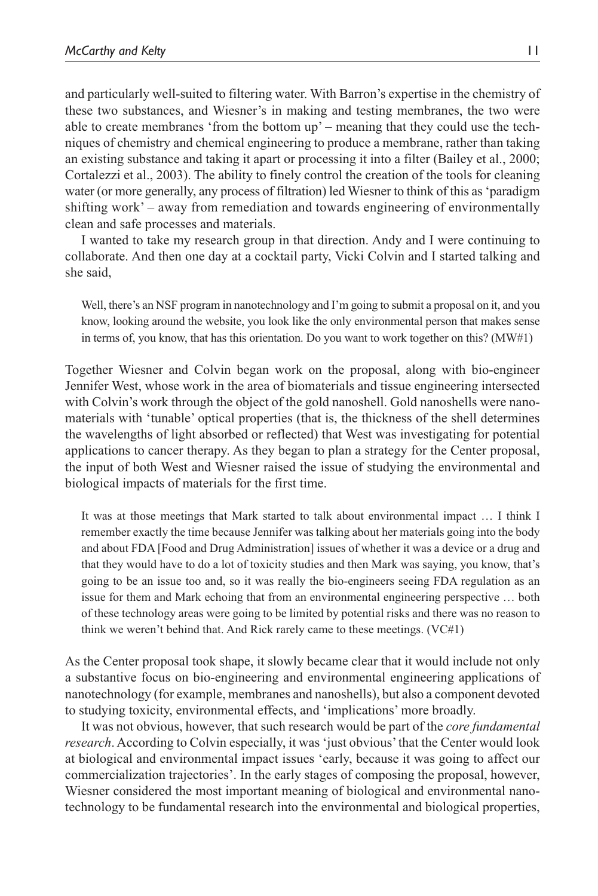and particularly well-suited to filtering water. With Barron's expertise in the chemistry of these two substances, and Wiesner's in making and testing membranes, the two were able to create membranes 'from the bottom up' – meaning that they could use the techniques of chemistry and chemical engineering to produce a membrane, rather than taking an existing substance and taking it apart or processing it into a filter (Bailey et al., 2000; Cortalezzi et al., 2003). The ability to finely control the creation of the tools for cleaning water (or more generally, any process of filtration) led Wiesner to think of this as 'paradigm shifting work' – away from remediation and towards engineering of environmentally clean and safe processes and materials.

I wanted to take my research group in that direction. Andy and I were continuing to collaborate. And then one day at a cocktail party, Vicki Colvin and I started talking and she said,

Well, there's an NSF program in nanotechnology and I'm going to submit a proposal on it, and you know, looking around the website, you look like the only environmental person that makes sense in terms of, you know, that has this orientation. Do you want to work together on this? (MW#1)

Together Wiesner and Colvin began work on the proposal, along with bio-engineer Jennifer West, whose work in the area of biomaterials and tissue engineering intersected with Colvin's work through the object of the gold nanoshell. Gold nanoshells were nanomaterials with 'tunable' optical properties (that is, the thickness of the shell determines the wavelengths of light absorbed or reflected) that West was investigating for potential applications to cancer therapy. As they began to plan a strategy for the Center proposal, the input of both West and Wiesner raised the issue of studying the environmental and biological impacts of materials for the first time.

It was at those meetings that Mark started to talk about environmental impact … I think I remember exactly the time because Jennifer was talking about her materials going into the body and about FDA [Food and Drug Administration] issues of whether it was a device or a drug and that they would have to do a lot of toxicity studies and then Mark was saying, you know, that's going to be an issue too and, so it was really the bio-engineers seeing FDA regulation as an issue for them and Mark echoing that from an environmental engineering perspective … both of these technology areas were going to be limited by potential risks and there was no reason to think we weren't behind that. And Rick rarely came to these meetings. (VC#1)

As the Center proposal took shape, it slowly became clear that it would include not only a substantive focus on bio-engineering and environmental engineering applications of nanotechnology (for example, membranes and nanoshells), but also a component devoted to studying toxicity, environmental effects, and 'implications' more broadly.

It was not obvious, however, that such research would be part of the *core fundamental research*. According to Colvin especially, it was 'just obvious' that the Center would look at biological and environmental impact issues 'early, because it was going to affect our commercialization trajectories'. In the early stages of composing the proposal, however, Wiesner considered the most important meaning of biological and environmental nanotechnology to be fundamental research into the environmental and biological properties,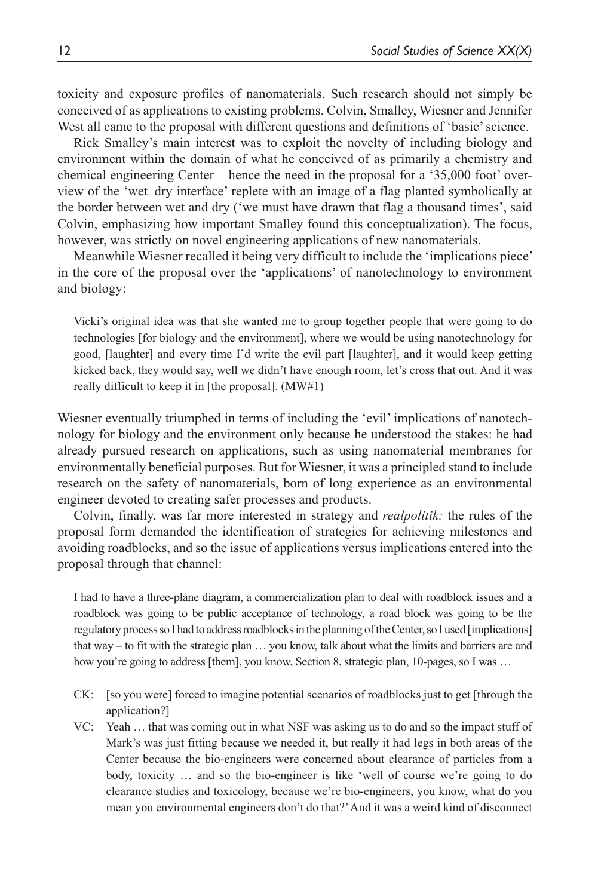toxicity and exposure profiles of nanomaterials. Such research should not simply be conceived of as applications to existing problems. Colvin, Smalley, Wiesner and Jennifer West all came to the proposal with different questions and definitions of 'basic' science.

Rick Smalley's main interest was to exploit the novelty of including biology and environment within the domain of what he conceived of as primarily a chemistry and chemical engineering Center – hence the need in the proposal for a '35,000 foot' overview of the 'wet–dry interface' replete with an image of a flag planted symbolically at the border between wet and dry ('we must have drawn that flag a thousand times', said Colvin, emphasizing how important Smalley found this conceptualization). The focus, however, was strictly on novel engineering applications of new nanomaterials.

Meanwhile Wiesner recalled it being very difficult to include the 'implications piece' in the core of the proposal over the 'applications' of nanotechnology to environment and biology:

Vicki's original idea was that she wanted me to group together people that were going to do technologies [for biology and the environment], where we would be using nanotechnology for good, [laughter] and every time I'd write the evil part [laughter], and it would keep getting kicked back, they would say, well we didn't have enough room, let's cross that out. And it was really difficult to keep it in [the proposal]. (MW#1)

Wiesner eventually triumphed in terms of including the 'evil' implications of nanotechnology for biology and the environment only because he understood the stakes: he had already pursued research on applications, such as using nanomaterial membranes for environmentally beneficial purposes. But for Wiesner, it was a principled stand to include research on the safety of nanomaterials, born of long experience as an environmental engineer devoted to creating safer processes and products.

Colvin, finally, was far more interested in strategy and *realpolitik:* the rules of the proposal form demanded the identification of strategies for achieving milestones and avoiding roadblocks, and so the issue of applications versus implications entered into the proposal through that channel:

I had to have a three-plane diagram, a commercialization plan to deal with roadblock issues and a roadblock was going to be public acceptance of technology, a road block was going to be the regulatory process so I had to address roadblocks in the planning of the Center, so I used [implications] that way – to fit with the strategic plan … you know, talk about what the limits and barriers are and how you're going to address [them], you know, Section 8, strategic plan, 10-pages, so I was ...

- CK: [so you were] forced to imagine potential scenarios of roadblocks just to get [through the application?]
- VC: Yeah … that was coming out in what NSF was asking us to do and so the impact stuff of Mark's was just fitting because we needed it, but really it had legs in both areas of the Center because the bio-engineers were concerned about clearance of particles from a body, toxicity … and so the bio-engineer is like 'well of course we're going to do clearance studies and toxicology, because we're bio-engineers, you know, what do you mean you environmental engineers don't do that?' And it was a weird kind of disconnect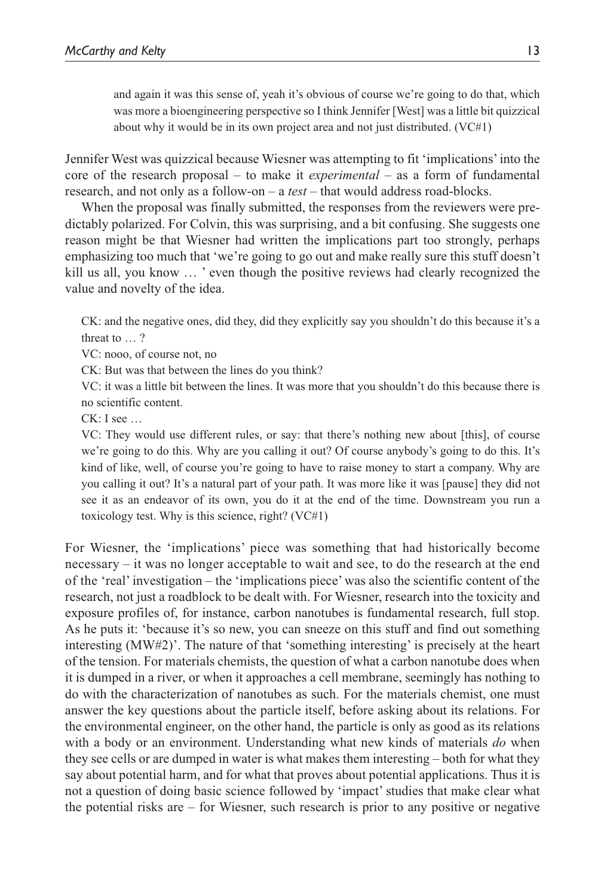and again it was this sense of, yeah it's obvious of course we're going to do that, which was more a bioengineering perspective so I think Jennifer [West] was a little bit quizzical about why it would be in its own project area and not just distributed. (VC#1)

Jennifer West was quizzical because Wiesner was attempting to fit 'implications' into the core of the research proposal – to make it *experimental* – as a form of fundamental research, and not only as a follow-on – a *test* – that would address road-blocks.

When the proposal was finally submitted, the responses from the reviewers were predictably polarized. For Colvin, this was surprising, and a bit confusing. She suggests one reason might be that Wiesner had written the implications part too strongly, perhaps emphasizing too much that 'we're going to go out and make really sure this stuff doesn't kill us all, you know  $\ldots$  ' even though the positive reviews had clearly recognized the value and novelty of the idea.

CK: and the negative ones, did they, did they explicitly say you shouldn't do this because it's a threat to … ?

VC: nooo, of course not, no

CK: But was that between the lines do you think?

VC: it was a little bit between the lines. It was more that you shouldn't do this because there is no scientific content.

CK: I see …

VC: They would use different rules, or say: that there's nothing new about [this], of course we're going to do this. Why are you calling it out? Of course anybody's going to do this. It's kind of like, well, of course you're going to have to raise money to start a company. Why are you calling it out? It's a natural part of your path. It was more like it was [pause] they did not see it as an endeavor of its own, you do it at the end of the time. Downstream you run a toxicology test. Why is this science, right? (VC#1)

For Wiesner, the 'implications' piece was something that had historically become necessary – it was no longer acceptable to wait and see, to do the research at the end of the 'real' investigation – the 'implications piece' was also the scientific content of the research, not just a roadblock to be dealt with. For Wiesner, research into the toxicity and exposure profiles of, for instance, carbon nanotubes is fundamental research, full stop. As he puts it: 'because it's so new, you can sneeze on this stuff and find out something interesting (MW#2)'. The nature of that 'something interesting' is precisely at the heart of the tension. For materials chemists, the question of what a carbon nanotube does when it is dumped in a river, or when it approaches a cell membrane, seemingly has nothing to do with the characterization of nanotubes as such. For the materials chemist, one must answer the key questions about the particle itself, before asking about its relations. For the environmental engineer, on the other hand, the particle is only as good as its relations with a body or an environment. Understanding what new kinds of materials *do* when they see cells or are dumped in water is what makes them interesting – both for what they say about potential harm, and for what that proves about potential applications. Thus it is not a question of doing basic science followed by 'impact' studies that make clear what the potential risks are – for Wiesner, such research is prior to any positive or negative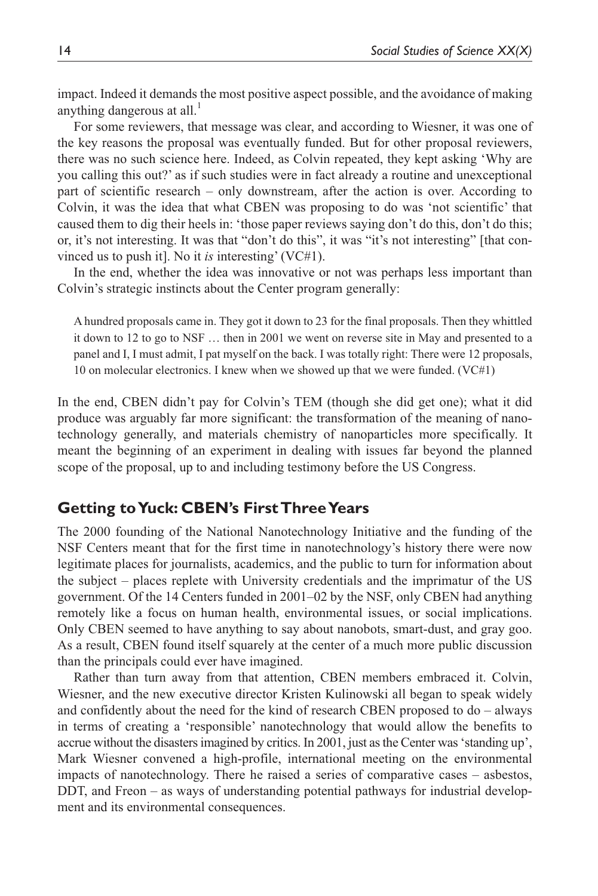impact. Indeed it demands the most positive aspect possible, and the avoidance of making anything dangerous at all.<sup>1</sup>

For some reviewers, that message was clear, and according to Wiesner, it was one of the key reasons the proposal was eventually funded. But for other proposal reviewers, there was no such science here. Indeed, as Colvin repeated, they kept asking 'Why are you calling this out?' as if such studies were in fact already a routine and unexceptional part of scientific research – only downstream, after the action is over. According to Colvin, it was the idea that what CBEN was proposing to do was 'not scientific' that caused them to dig their heels in: 'those paper reviews saying don't do this, don't do this; or, it's not interesting. It was that "don't do this", it was "it's not interesting" [that convinced us to push it]. No it *is* interesting' (VC#1).

In the end, whether the idea was innovative or not was perhaps less important than Colvin's strategic instincts about the Center program generally:

A hundred proposals came in. They got it down to 23 for the final proposals. Then they whittled it down to 12 to go to NSF … then in 2001 we went on reverse site in May and presented to a panel and I, I must admit, I pat myself on the back. I was totally right: There were 12 proposals, 10 on molecular electronics. I knew when we showed up that we were funded. (VC#1)

In the end, CBEN didn't pay for Colvin's TEM (though she did get one); what it did produce was arguably far more significant: the transformation of the meaning of nanotechnology generally, and materials chemistry of nanoparticles more specifically. It meant the beginning of an experiment in dealing with issues far beyond the planned scope of the proposal, up to and including testimony before the US Congress.

## **Getting to Yuck: CBEN's First Three Years**

The 2000 founding of the National Nanotechnology Initiative and the funding of the NSF Centers meant that for the first time in nanotechnology's history there were now legitimate places for journalists, academics, and the public to turn for information about the subject – places replete with University credentials and the imprimatur of the US government. Of the 14 Centers funded in 2001–02 by the NSF, only CBEN had anything remotely like a focus on human health, environmental issues, or social implications. Only CBEN seemed to have anything to say about nanobots, smart-dust, and gray goo. As a result, CBEN found itself squarely at the center of a much more public discussion than the principals could ever have imagined.

Rather than turn away from that attention, CBEN members embraced it. Colvin, Wiesner, and the new executive director Kristen Kulinowski all began to speak widely and confidently about the need for the kind of research CBEN proposed to do – always in terms of creating a 'responsible' nanotechnology that would allow the benefits to accrue without the disasters imagined by critics. In 2001, just as the Center was 'standing up', Mark Wiesner convened a high-profile, international meeting on the environmental impacts of nanotechnology. There he raised a series of comparative cases – asbestos, DDT, and Freon – as ways of understanding potential pathways for industrial development and its environmental consequences.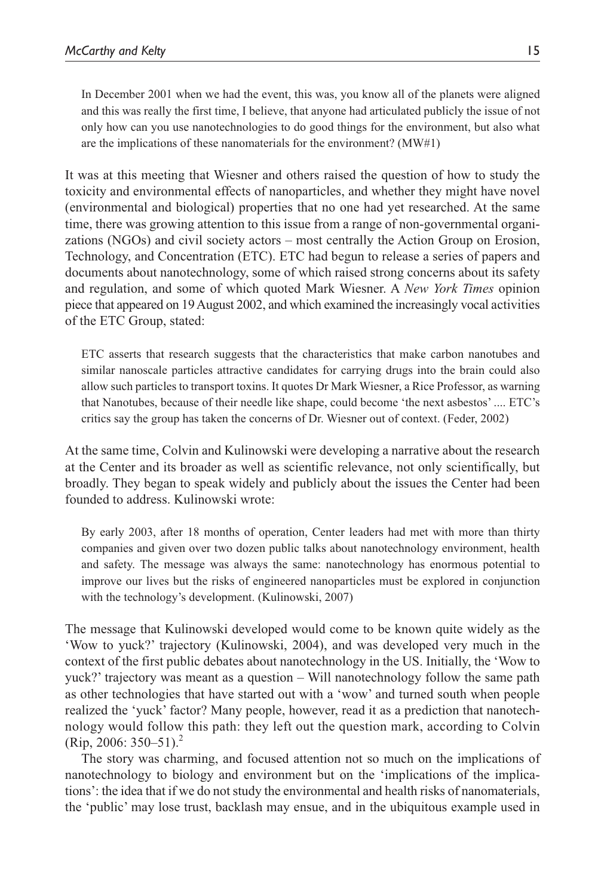In December 2001 when we had the event, this was, you know all of the planets were aligned and this was really the first time, I believe, that anyone had articulated publicly the issue of not only how can you use nanotechnologies to do good things for the environment, but also what are the implications of these nanomaterials for the environment? (MW#1)

It was at this meeting that Wiesner and others raised the question of how to study the toxicity and environmental effects of nanoparticles, and whether they might have novel (environmental and biological) properties that no one had yet researched. At the same time, there was growing attention to this issue from a range of non-governmental organizations (NGOs) and civil society actors – most centrally the Action Group on Erosion, Technology, and Concentration (ETC). ETC had begun to release a series of papers and documents about nanotechnology, some of which raised strong concerns about its safety and regulation, and some of which quoted Mark Wiesner. A *New York Times* opinion piece that appeared on 19 August 2002, and which examined the increasingly vocal activities of the ETC Group, stated:

ETC asserts that research suggests that the characteristics that make carbon nanotubes and similar nanoscale particles attractive candidates for carrying drugs into the brain could also allow such particles to transport toxins. It quotes Dr Mark Wiesner, a Rice Professor, as warning that Nanotubes, because of their needle like shape, could become 'the next asbestos' .... ETC's critics say the group has taken the concerns of Dr. Wiesner out of context. (Feder, 2002)

At the same time, Colvin and Kulinowski were developing a narrative about the research at the Center and its broader as well as scientific relevance, not only scientifically, but broadly. They began to speak widely and publicly about the issues the Center had been founded to address. Kulinowski wrote:

By early 2003, after 18 months of operation, Center leaders had met with more than thirty companies and given over two dozen public talks about nanotechnology environment, health and safety. The message was always the same: nanotechnology has enormous potential to improve our lives but the risks of engineered nanoparticles must be explored in conjunction with the technology's development. (Kulinowski, 2007)

The message that Kulinowski developed would come to be known quite widely as the 'Wow to yuck?' trajectory (Kulinowski, 2004), and was developed very much in the context of the first public debates about nanotechnology in the US. Initially, the 'Wow to yuck?' trajectory was meant as a question – Will nanotechnology follow the same path as other technologies that have started out with a 'wow' and turned south when people realized the 'yuck' factor? Many people, however, read it as a prediction that nanotechnology would follow this path: they left out the question mark, according to Colvin  $(Rip, 2006: 350-51).<sup>2</sup>$ 

The story was charming, and focused attention not so much on the implications of nanotechnology to biology and environment but on the 'implications of the implications': the idea that if we do not study the environmental and health risks of nanomaterials, the 'public' may lose trust, backlash may ensue, and in the ubiquitous example used in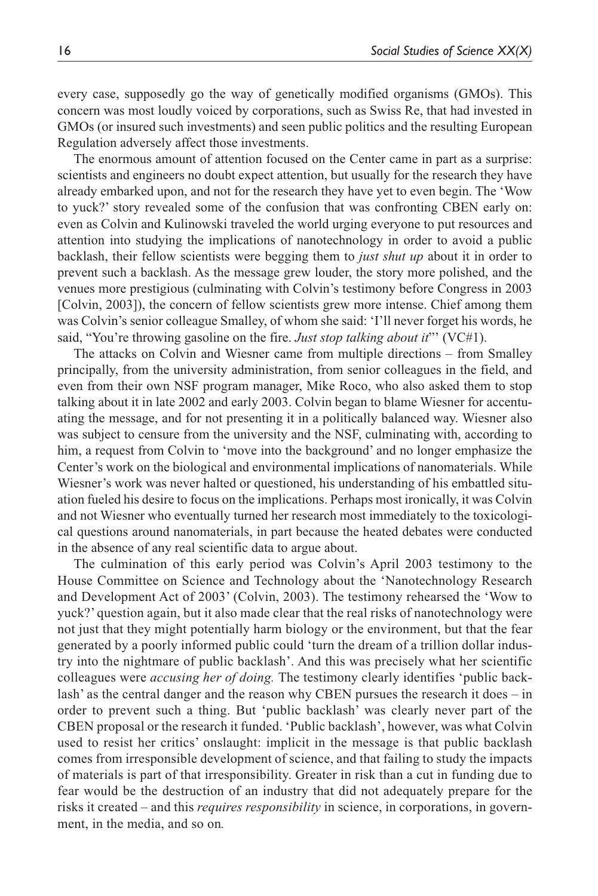every case, supposedly go the way of genetically modified organisms (GMOs). This concern was most loudly voiced by corporations, such as Swiss Re, that had invested in GMOs (or insured such investments) and seen public politics and the resulting European Regulation adversely affect those investments.

The enormous amount of attention focused on the Center came in part as a surprise: scientists and engineers no doubt expect attention, but usually for the research they have already embarked upon, and not for the research they have yet to even begin. The 'Wow to yuck?' story revealed some of the confusion that was confronting CBEN early on: even as Colvin and Kulinowski traveled the world urging everyone to put resources and attention into studying the implications of nanotechnology in order to avoid a public backlash, their fellow scientists were begging them to *just shut up* about it in order to prevent such a backlash. As the message grew louder, the story more polished, and the venues more prestigious (culminating with Colvin's testimony before Congress in 2003 [Colvin, 2003]), the concern of fellow scientists grew more intense. Chief among them was Colvin's senior colleague Smalley, of whom she said: 'I'll never forget his words, he said, "You're throwing gasoline on the fire. *Just stop talking about it*"' (VC#1).

The attacks on Colvin and Wiesner came from multiple directions – from Smalley principally, from the university administration, from senior colleagues in the field, and even from their own NSF program manager, Mike Roco, who also asked them to stop talking about it in late 2002 and early 2003. Colvin began to blame Wiesner for accentuating the message, and for not presenting it in a politically balanced way. Wiesner also was subject to censure from the university and the NSF, culminating with, according to him, a request from Colvin to 'move into the background' and no longer emphasize the Center's work on the biological and environmental implications of nanomaterials. While Wiesner's work was never halted or questioned, his understanding of his embattled situation fueled his desire to focus on the implications. Perhaps most ironically, it was Colvin and not Wiesner who eventually turned her research most immediately to the toxicological questions around nanomaterials, in part because the heated debates were conducted in the absence of any real scientific data to argue about.

The culmination of this early period was Colvin's April 2003 testimony to the House Committee on Science and Technology about the 'Nanotechnology Research and Development Act of 2003' (Colvin, 2003). The testimony rehearsed the 'Wow to yuck?' question again, but it also made clear that the real risks of nanotechnology were not just that they might potentially harm biology or the environment, but that the fear generated by a poorly informed public could 'turn the dream of a trillion dollar industry into the nightmare of public backlash'. And this was precisely what her scientific colleagues were *accusing her of doing.* The testimony clearly identifies 'public backlash' as the central danger and the reason why CBEN pursues the research it does – in order to prevent such a thing. But 'public backlash' was clearly never part of the CBEN proposal or the research it funded. 'Public backlash', however, was what Colvin used to resist her critics' onslaught: implicit in the message is that public backlash comes from irresponsible development of science, and that failing to study the impacts of materials is part of that irresponsibility. Greater in risk than a cut in funding due to fear would be the destruction of an industry that did not adequately prepare for the risks it created – and this *requires responsibility* in science, in corporations, in government, in the media, and so on*.*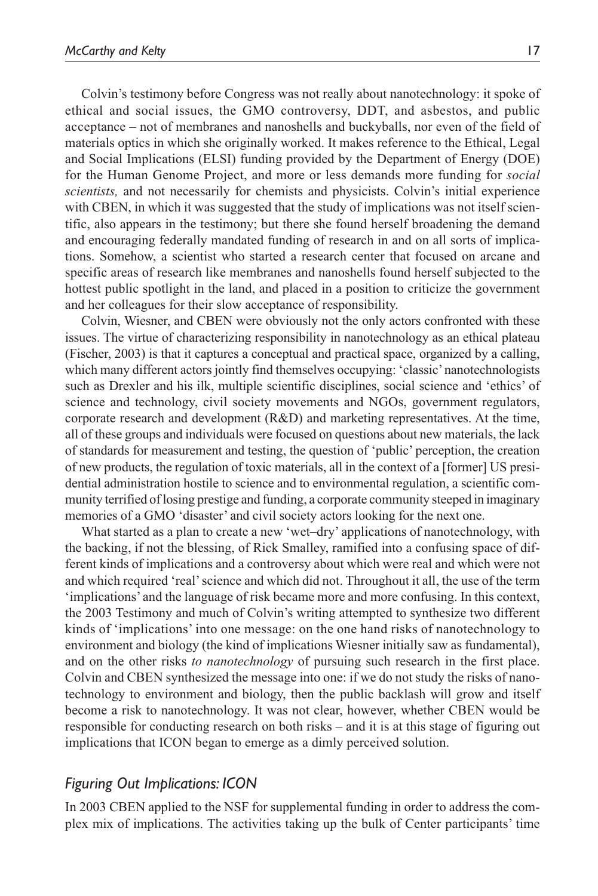Colvin's testimony before Congress was not really about nanotechnology: it spoke of ethical and social issues, the GMO controversy, DDT, and asbestos, and public acceptance – not of membranes and nanoshells and buckyballs, nor even of the field of materials optics in which she originally worked. It makes reference to the Ethical, Legal and Social Implications (ELSI) funding provided by the Department of Energy (DOE) for the Human Genome Project, and more or less demands more funding for *social scientists,* and not necessarily for chemists and physicists. Colvin's initial experience with CBEN, in which it was suggested that the study of implications was not itself scientific, also appears in the testimony; but there she found herself broadening the demand and encouraging federally mandated funding of research in and on all sorts of implications. Somehow, a scientist who started a research center that focused on arcane and specific areas of research like membranes and nanoshells found herself subjected to the hottest public spotlight in the land, and placed in a position to criticize the government and her colleagues for their slow acceptance of responsibility.

Colvin, Wiesner, and CBEN were obviously not the only actors confronted with these issues. The virtue of characterizing responsibility in nanotechnology as an ethical plateau (Fischer, 2003) is that it captures a conceptual and practical space, organized by a calling, which many different actors jointly find themselves occupying: 'classic' nanotechnologists such as Drexler and his ilk, multiple scientific disciplines, social science and 'ethics' of science and technology, civil society movements and NGOs, government regulators, corporate research and development (R&D) and marketing representatives. At the time, all of these groups and individuals were focused on questions about new materials, the lack of standards for measurement and testing, the question of 'public' perception, the creation of new products, the regulation of toxic materials, all in the context of a [former] US presidential administration hostile to science and to environmental regulation, a scientific community terrified of losing prestige and funding, a corporate community steeped in imaginary memories of a GMO 'disaster' and civil society actors looking for the next one.

What started as a plan to create a new 'wet-dry' applications of nanotechnology, with the backing, if not the blessing, of Rick Smalley, ramified into a confusing space of different kinds of implications and a controversy about which were real and which were not and which required 'real' science and which did not. Throughout it all, the use of the term 'implications' and the language of risk became more and more confusing. In this context, the 2003 Testimony and much of Colvin's writing attempted to synthesize two different kinds of 'implications' into one message: on the one hand risks of nanotechnology to environment and biology (the kind of implications Wiesner initially saw as fundamental), and on the other risks *to nanotechnology* of pursuing such research in the first place. Colvin and CBEN synthesized the message into one: if we do not study the risks of nanotechnology to environment and biology, then the public backlash will grow and itself become a risk to nanotechnology. It was not clear, however, whether CBEN would be responsible for conducting research on both risks – and it is at this stage of figuring out implications that ICON began to emerge as a dimly perceived solution.

## *Figuring Out Implications: ICON*

In 2003 CBEN applied to the NSF for supplemental funding in order to address the complex mix of implications. The activities taking up the bulk of Center participants' time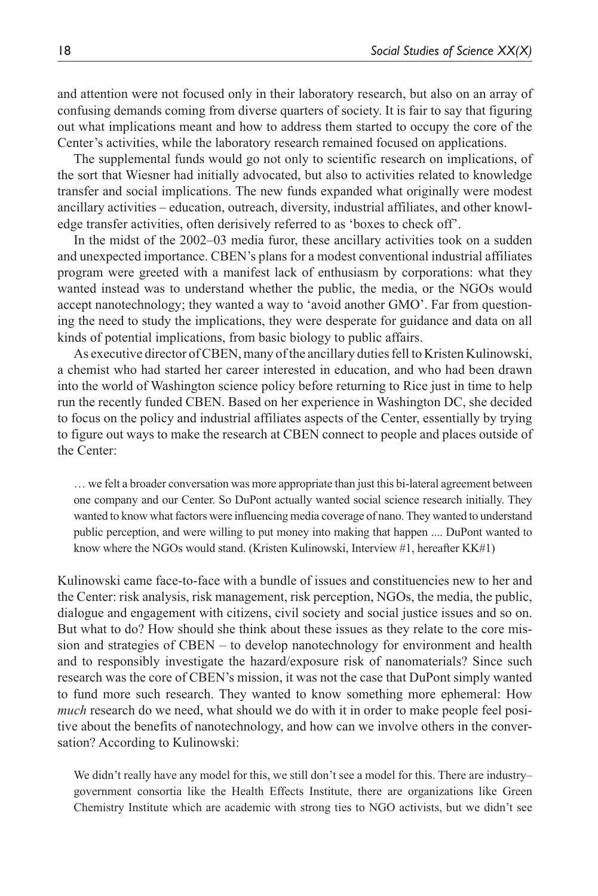and attention were not focused only in their laboratory research, but also on an array of confusing demands coming from diverse quarters of society. It is fair to say that figuring out what implications meant and how to address them started to occupy the core of the Center's activities, while the laboratory research remained focused on applications.

The supplemental funds would go not only to scientific research on implications, of the sort that Wiesner had initially advocated, but also to activities related to knowledge transfer and social implications. The new funds expanded what originally were modest ancillary activities – education, outreach, diversity, industrial affiliates, and other knowledge transfer activities, often derisively referred to as 'boxes to check off'.

In the midst of the 2002–03 media furor, these ancillary activities took on a sudden and unexpected importance. CBEN's plans for a modest conventional industrial affiliates program were greeted with a manifest lack of enthusiasm by corporations: what they wanted instead was to understand whether the public, the media, or the NGOs would accept nanotechnology; they wanted a way to 'avoid another GMO'. Far from questioning the need to study the implications, they were desperate for guidance and data on all kinds of potential implications, from basic biology to public affairs.

As executive director of CBEN, many of the ancillary duties fell to Kristen Kulinowski, a chemist who had started her career interested in education, and who had been drawn into the world of Washington science policy before returning to Rice just in time to help run the recently funded CBEN. Based on her experience in Washington DC, she decided to focus on the policy and industrial affiliates aspects of the Center, essentially by trying to figure out ways to make the research at CBEN connect to people and places outside of the Center:

… we felt a broader conversation was more appropriate than just this bi-lateral agreement between one company and our Center. So DuPont actually wanted social science research initially. They wanted to know what factors were influencing media coverage of nano. They wanted to understand public perception, and were willing to put money into making that happen .... DuPont wanted to know where the NGOs would stand. (Kristen Kulinowski, Interview #1, hereafter KK#1)

Kulinowski came face-to-face with a bundle of issues and constituencies new to her and the Center: risk analysis, risk management, risk perception, NGOs, the media, the public, dialogue and engagement with citizens, civil society and social justice issues and so on. But what to do? How should she think about these issues as they relate to the core mission and strategies of CBEN – to develop nanotechnology for environment and health and to responsibly investigate the hazard/exposure risk of nanomaterials? Since such research was the core of CBEN's mission, it was not the case that DuPont simply wanted to fund more such research. They wanted to know something more ephemeral: How *much* research do we need, what should we do with it in order to make people feel positive about the benefits of nanotechnology, and how can we involve others in the conversation? According to Kulinowski:

We didn't really have any model for this, we still don't see a model for this. There are industrygovernment consortia like the Health Effects Institute, there are organizations like Green Chemistry Institute which are academic with strong ties to NGO activists, but we didn't see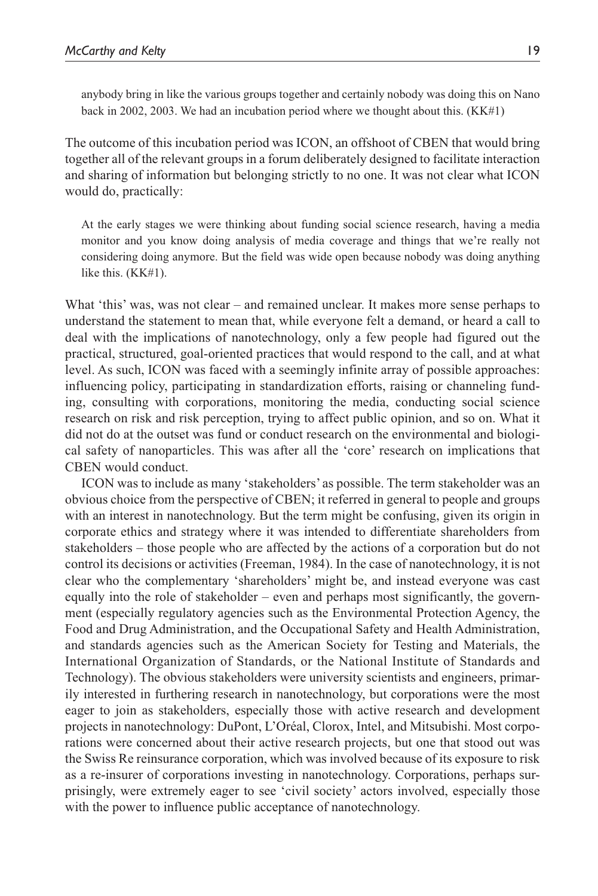anybody bring in like the various groups together and certainly nobody was doing this on Nano back in 2002, 2003. We had an incubation period where we thought about this. (KK#1)

The outcome of this incubation period was ICON, an offshoot of CBEN that would bring together all of the relevant groups in a forum deliberately designed to facilitate interaction and sharing of information but belonging strictly to no one. It was not clear what ICON would do, practically:

At the early stages we were thinking about funding social science research, having a media monitor and you know doing analysis of media coverage and things that we're really not considering doing anymore. But the field was wide open because nobody was doing anything like this. (KK#1).

What 'this' was, was not clear – and remained unclear. It makes more sense perhaps to understand the statement to mean that, while everyone felt a demand, or heard a call to deal with the implications of nanotechnology, only a few people had figured out the practical, structured, goal-oriented practices that would respond to the call, and at what level. As such, ICON was faced with a seemingly infinite array of possible approaches: influencing policy, participating in standardization efforts, raising or channeling funding, consulting with corporations, monitoring the media, conducting social science research on risk and risk perception, trying to affect public opinion, and so on. What it did not do at the outset was fund or conduct research on the environmental and biological safety of nanoparticles. This was after all the 'core' research on implications that CBEN would conduct.

ICON was to include as many 'stakeholders' as possible. The term stakeholder was an obvious choice from the perspective of CBEN; it referred in general to people and groups with an interest in nanotechnology. But the term might be confusing, given its origin in corporate ethics and strategy where it was intended to differentiate shareholders from stakeholders – those people who are affected by the actions of a corporation but do not control its decisions or activities (Freeman, 1984). In the case of nanotechnology, it is not clear who the complementary 'shareholders' might be, and instead everyone was cast equally into the role of stakeholder – even and perhaps most significantly, the government (especially regulatory agencies such as the Environmental Protection Agency, the Food and Drug Administration, and the Occupational Safety and Health Administration, and standards agencies such as the American Society for Testing and Materials, the International Organization of Standards, or the National Institute of Standards and Technology). The obvious stakeholders were university scientists and engineers, primarily interested in furthering research in nanotechnology, but corporations were the most eager to join as stakeholders, especially those with active research and development projects in nanotechnology: DuPont, L'Oréal, Clorox, Intel, and Mitsubishi. Most corporations were concerned about their active research projects, but one that stood out was the Swiss Re reinsurance corporation, which was involved because of its exposure to risk as a re-insurer of corporations investing in nanotechnology. Corporations, perhaps surprisingly, were extremely eager to see 'civil society' actors involved, especially those with the power to influence public acceptance of nanotechnology.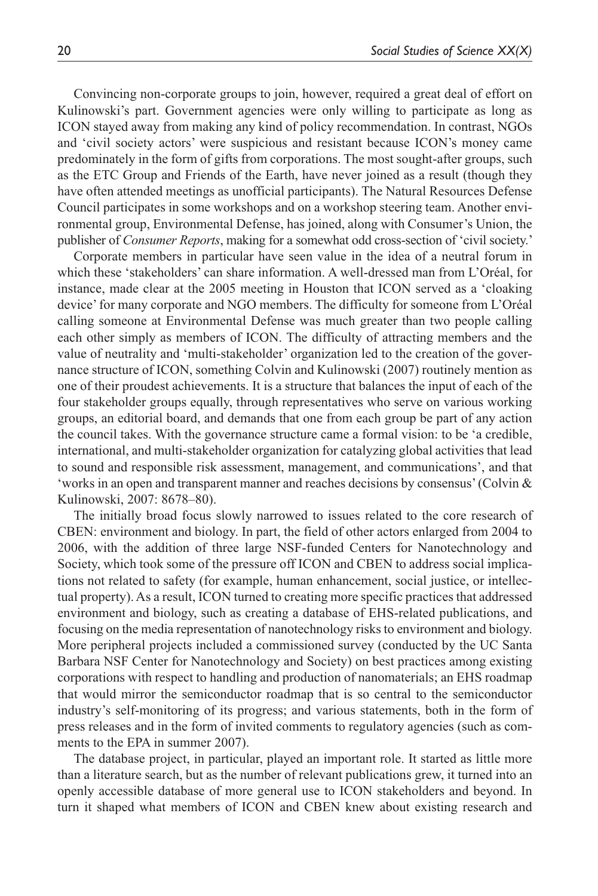Convincing non-corporate groups to join, however, required a great deal of effort on Kulinowski's part. Government agencies were only willing to participate as long as ICON stayed away from making any kind of policy recommendation. In contrast, NGOs and 'civil society actors' were suspicious and resistant because ICON's money came predominately in the form of gifts from corporations. The most sought-after groups, such as the ETC Group and Friends of the Earth, have never joined as a result (though they have often attended meetings as unofficial participants). The Natural Resources Defense Council participates in some workshops and on a workshop steering team. Another environmental group, Environmental Defense, has joined, along with Consumer's Union, the publisher of *Consumer Reports*, making for a somewhat odd cross-section of 'civil society.'

Corporate members in particular have seen value in the idea of a neutral forum in which these 'stakeholders' can share information. A well-dressed man from L'Oréal, for instance, made clear at the 2005 meeting in Houston that ICON served as a 'cloaking device' for many corporate and NGO members. The difficulty for someone from L'Oréal calling someone at Environmental Defense was much greater than two people calling each other simply as members of ICON. The difficulty of attracting members and the value of neutrality and 'multi-stakeholder' organization led to the creation of the governance structure of ICON, something Colvin and Kulinowski (2007) routinely mention as one of their proudest achievements. It is a structure that balances the input of each of the four stakeholder groups equally, through representatives who serve on various working groups, an editorial board, and demands that one from each group be part of any action the council takes. With the governance structure came a formal vision: to be 'a credible, international, and multi-stakeholder organization for catalyzing global activities that lead to sound and responsible risk assessment, management, and communications', and that 'works in an open and transparent manner and reaches decisions by consensus' (Colvin & Kulinowski, 2007: 8678–80).

The initially broad focus slowly narrowed to issues related to the core research of CBEN: environment and biology. In part, the field of other actors enlarged from 2004 to 2006, with the addition of three large NSF-funded Centers for Nanotechnology and Society, which took some of the pressure off ICON and CBEN to address social implications not related to safety (for example, human enhancement, social justice, or intellectual property). As a result, ICON turned to creating more specific practices that addressed environment and biology, such as creating a database of EHS-related publications, and focusing on the media representation of nanotechnology risks to environment and biology. More peripheral projects included a commissioned survey (conducted by the UC Santa Barbara NSF Center for Nanotechnology and Society) on best practices among existing corporations with respect to handling and production of nanomaterials; an EHS roadmap that would mirror the semiconductor roadmap that is so central to the semiconductor industry's self-monitoring of its progress; and various statements, both in the form of press releases and in the form of invited comments to regulatory agencies (such as comments to the EPA in summer 2007).

The database project, in particular, played an important role. It started as little more than a literature search, but as the number of relevant publications grew, it turned into an openly accessible database of more general use to ICON stakeholders and beyond. In turn it shaped what members of ICON and CBEN knew about existing research and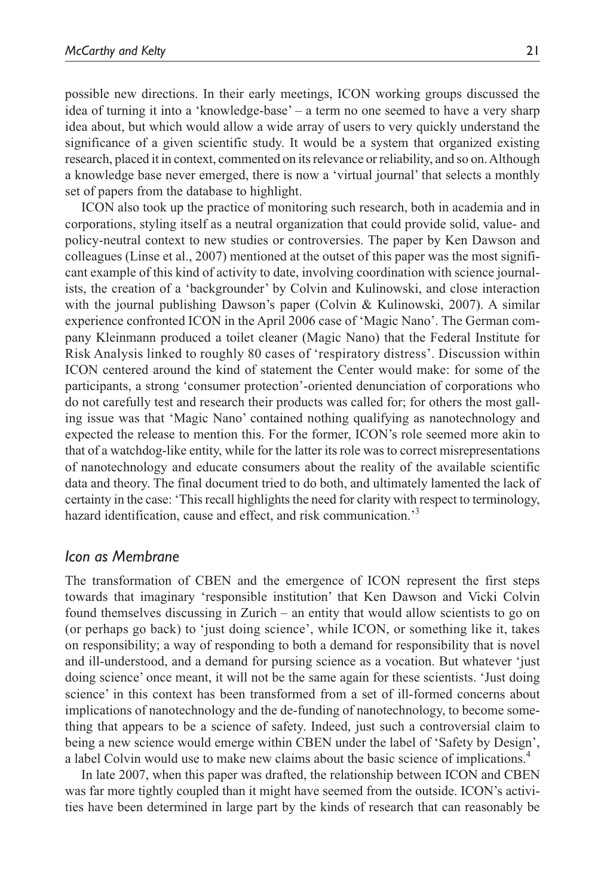possible new directions. In their early meetings, ICON working groups discussed the idea of turning it into a 'knowledge-base' – a term no one seemed to have a very sharp idea about, but which would allow a wide array of users to very quickly understand the significance of a given scientific study. It would be a system that organized existing research, placed it in context, commented on its relevance or reliability, and so on. Although a knowledge base never emerged, there is now a 'virtual journal' that selects a monthly set of papers from the database to highlight.

ICON also took up the practice of monitoring such research, both in academia and in corporations, styling itself as a neutral organization that could provide solid, value- and policy-neutral context to new studies or controversies. The paper by Ken Dawson and colleagues (Linse et al., 2007) mentioned at the outset of this paper was the most significant example of this kind of activity to date, involving coordination with science journalists, the creation of a 'backgrounder' by Colvin and Kulinowski, and close interaction with the journal publishing Dawson's paper (Colvin & Kulinowski, 2007). A similar experience confronted ICON in the April 2006 case of 'Magic Nano'. The German company Kleinmann produced a toilet cleaner (Magic Nano) that the Federal Institute for Risk Analysis linked to roughly 80 cases of 'respiratory distress'. Discussion within ICON centered around the kind of statement the Center would make: for some of the participants, a strong 'consumer protection'-oriented denunciation of corporations who do not carefully test and research their products was called for; for others the most galling issue was that 'Magic Nano' contained nothing qualifying as nanotechnology and expected the release to mention this. For the former, ICON's role seemed more akin to that of a watchdog-like entity, while for the latter its role was to correct misrepresentations of nanotechnology and educate consumers about the reality of the available scientific data and theory. The final document tried to do both, and ultimately lamented the lack of certainty in the case: 'This recall highlights the need for clarity with respect to terminology, hazard identification, cause and effect, and risk communication.<sup>3</sup>

## *Icon as Membrane*

The transformation of CBEN and the emergence of ICON represent the first steps towards that imaginary 'responsible institution' that Ken Dawson and Vicki Colvin found themselves discussing in Zurich – an entity that would allow scientists to go on (or perhaps go back) to 'just doing science', while ICON, or something like it, takes on responsibility; a way of responding to both a demand for responsibility that is novel and ill-understood, and a demand for pursing science as a vocation. But whatever 'just doing science' once meant, it will not be the same again for these scientists. 'Just doing science' in this context has been transformed from a set of ill-formed concerns about implications of nanotechnology and the de-funding of nanotechnology, to become something that appears to be a science of safety. Indeed, just such a controversial claim to being a new science would emerge within CBEN under the label of 'Safety by Design', a label Colvin would use to make new claims about the basic science of implications.4

In late 2007, when this paper was drafted, the relationship between ICON and CBEN was far more tightly coupled than it might have seemed from the outside. ICON's activities have been determined in large part by the kinds of research that can reasonably be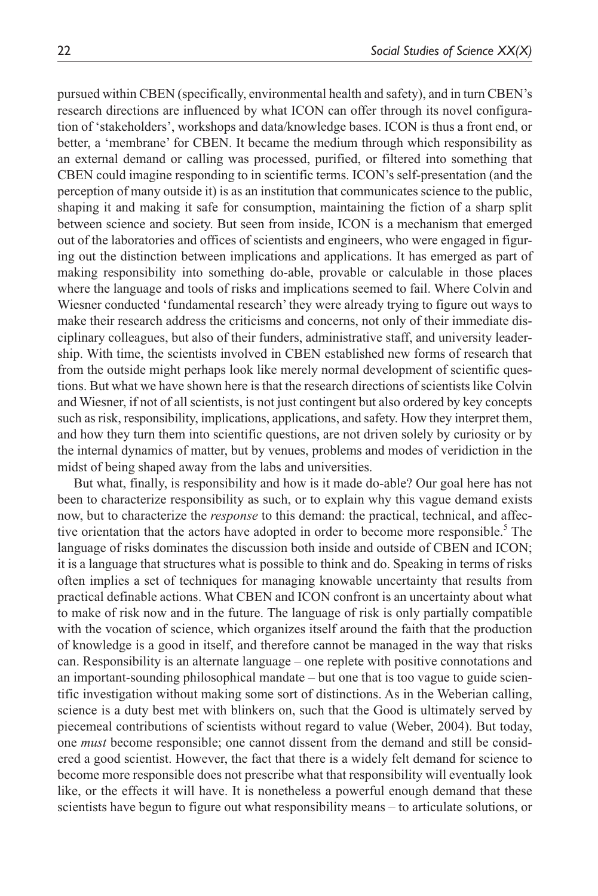pursued within CBEN (specifically, environmental health and safety), and in turn CBEN's research directions are influenced by what ICON can offer through its novel configuration of 'stakeholders', workshops and data/knowledge bases. ICON is thus a front end, or better, a 'membrane' for CBEN. It became the medium through which responsibility as an external demand or calling was processed, purified, or filtered into something that CBEN could imagine responding to in scientific terms. ICON's self-presentation (and the perception of many outside it) is as an institution that communicates science to the public, shaping it and making it safe for consumption, maintaining the fiction of a sharp split between science and society. But seen from inside, ICON is a mechanism that emerged out of the laboratories and offices of scientists and engineers, who were engaged in figuring out the distinction between implications and applications. It has emerged as part of making responsibility into something do-able, provable or calculable in those places where the language and tools of risks and implications seemed to fail. Where Colvin and Wiesner conducted 'fundamental research' they were already trying to figure out ways to make their research address the criticisms and concerns, not only of their immediate disciplinary colleagues, but also of their funders, administrative staff, and university leadership. With time, the scientists involved in CBEN established new forms of research that from the outside might perhaps look like merely normal development of scientific questions. But what we have shown here is that the research directions of scientists like Colvin and Wiesner, if not of all scientists, is not just contingent but also ordered by key concepts such as risk, responsibility, implications, applications, and safety. How they interpret them, and how they turn them into scientific questions, are not driven solely by curiosity or by the internal dynamics of matter, but by venues, problems and modes of veridiction in the midst of being shaped away from the labs and universities.

But what, finally, is responsibility and how is it made do-able? Our goal here has not been to characterize responsibility as such, or to explain why this vague demand exists now, but to characterize the *response* to this demand: the practical, technical, and affective orientation that the actors have adopted in order to become more responsible.<sup>5</sup> The language of risks dominates the discussion both inside and outside of CBEN and ICON; it is a language that structures what is possible to think and do. Speaking in terms of risks often implies a set of techniques for managing knowable uncertainty that results from practical definable actions. What CBEN and ICON confront is an uncertainty about what to make of risk now and in the future. The language of risk is only partially compatible with the vocation of science, which organizes itself around the faith that the production of knowledge is a good in itself, and therefore cannot be managed in the way that risks can. Responsibility is an alternate language – one replete with positive connotations and an important-sounding philosophical mandate – but one that is too vague to guide scientific investigation without making some sort of distinctions. As in the Weberian calling, science is a duty best met with blinkers on, such that the Good is ultimately served by piecemeal contributions of scientists without regard to value (Weber, 2004). But today, one *must* become responsible; one cannot dissent from the demand and still be considered a good scientist. However, the fact that there is a widely felt demand for science to become more responsible does not prescribe what that responsibility will eventually look like, or the effects it will have. It is nonetheless a powerful enough demand that these scientists have begun to figure out what responsibility means – to articulate solutions, or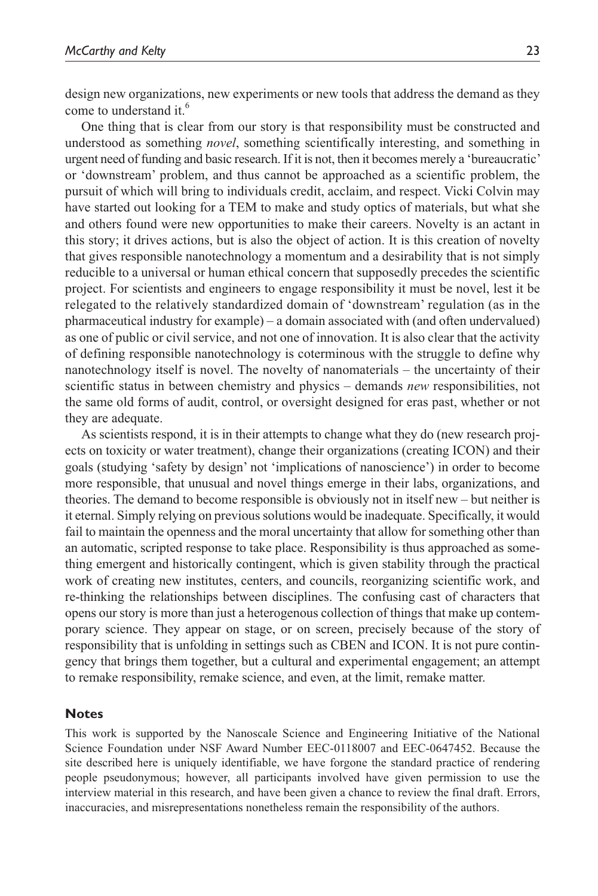design new organizations, new experiments or new tools that address the demand as they come to understand it.<sup>6</sup>

One thing that is clear from our story is that responsibility must be constructed and understood as something *novel*, something scientifically interesting, and something in urgent need of funding and basic research. If it is not, then it becomes merely a 'bureaucratic' or 'downstream' problem, and thus cannot be approached as a scientific problem, the pursuit of which will bring to individuals credit, acclaim, and respect. Vicki Colvin may have started out looking for a TEM to make and study optics of materials, but what she and others found were new opportunities to make their careers. Novelty is an actant in this story; it drives actions, but is also the object of action. It is this creation of novelty that gives responsible nanotechnology a momentum and a desirability that is not simply reducible to a universal or human ethical concern that supposedly precedes the scientific project. For scientists and engineers to engage responsibility it must be novel, lest it be relegated to the relatively standardized domain of 'downstream' regulation (as in the pharmaceutical industry for example) – a domain associated with (and often undervalued) as one of public or civil service, and not one of innovation. It is also clear that the activity of defining responsible nanotechnology is coterminous with the struggle to define why nanotechnology itself is novel. The novelty of nanomaterials – the uncertainty of their scientific status in between chemistry and physics – demands *new* responsibilities, not the same old forms of audit, control, or oversight designed for eras past, whether or not they are adequate.

As scientists respond, it is in their attempts to change what they do (new research projects on toxicity or water treatment), change their organizations (creating ICON) and their goals (studying 'safety by design' not 'implications of nanoscience') in order to become more responsible, that unusual and novel things emerge in their labs, organizations, and theories. The demand to become responsible is obviously not in itself new – but neither is it eternal. Simply relying on previous solutions would be inadequate. Specifically, it would fail to maintain the openness and the moral uncertainty that allow for something other than an automatic, scripted response to take place. Responsibility is thus approached as something emergent and historically contingent, which is given stability through the practical work of creating new institutes, centers, and councils, reorganizing scientific work, and re-thinking the relationships between disciplines. The confusing cast of characters that opens our story is more than just a heterogenous collection of things that make up contemporary science. They appear on stage, or on screen, precisely because of the story of responsibility that is unfolding in settings such as CBEN and ICON. It is not pure contingency that brings them together, but a cultural and experimental engagement; an attempt to remake responsibility, remake science, and even, at the limit, remake matter.

#### **Notes**

This work is supported by the Nanoscale Science and Engineering Initiative of the National Science Foundation under NSF Award Number EEC-0118007 and EEC-0647452. Because the site described here is uniquely identifiable, we have forgone the standard practice of rendering people pseudonymous; however, all participants involved have given permission to use the interview material in this research, and have been given a chance to review the final draft. Errors, inaccuracies, and misrepresentations nonetheless remain the responsibility of the authors.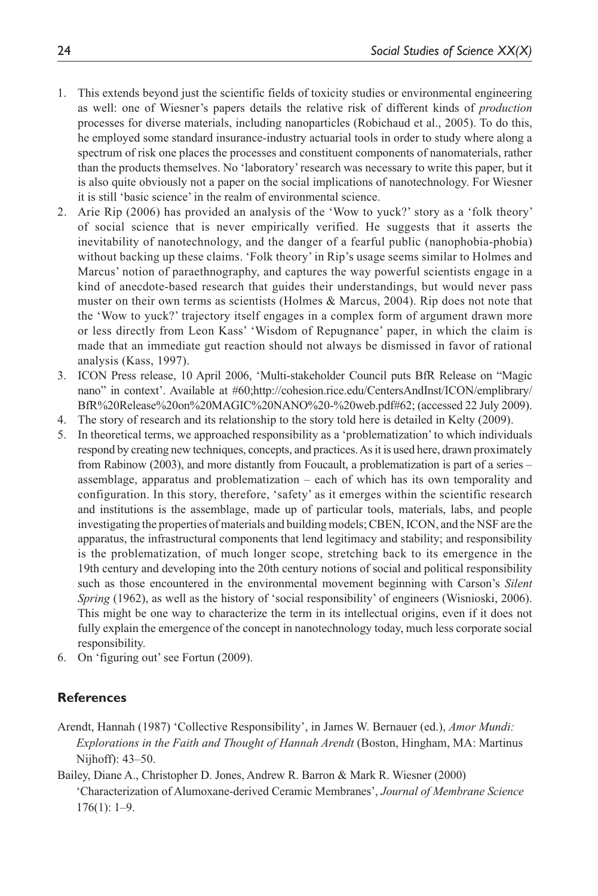- 1. This extends beyond just the scientific fields of toxicity studies or environmental engineering as well: one of Wiesner's papers details the relative risk of different kinds of *production* processes for diverse materials, including nanoparticles (Robichaud et al., 2005). To do this, he employed some standard insurance-industry actuarial tools in order to study where along a spectrum of risk one places the processes and constituent components of nanomaterials, rather than the products themselves. No 'laboratory' research was necessary to write this paper, but it is also quite obviously not a paper on the social implications of nanotechnology. For Wiesner it is still 'basic science' in the realm of environmental science.
- 2. Arie Rip (2006) has provided an analysis of the 'Wow to yuck?' story as a 'folk theory' of social science that is never empirically verified. He suggests that it asserts the inevitability of nanotechnology, and the danger of a fearful public (nanophobia-phobia) without backing up these claims. 'Folk theory' in Rip's usage seems similar to Holmes and Marcus' notion of paraethnography, and captures the way powerful scientists engage in a kind of anecdote-based research that guides their understandings, but would never pass muster on their own terms as scientists (Holmes & Marcus, 2004). Rip does not note that the 'Wow to yuck?' trajectory itself engages in a complex form of argument drawn more or less directly from Leon Kass' 'Wisdom of Repugnance' paper, in which the claim is made that an immediate gut reaction should not always be dismissed in favor of rational analysis (Kass, 1997).
- 3. ICON Press release, 10 April 2006, 'Multi-stakeholder Council puts BfR Release on "Magic nano" in context'. Available at #60;http://cohesion.rice.edu/CentersAndInst/ICON/emplibrary/ BfR%20Release%20on%20MAGIC%20NANO%20-%20web.pdf#62; (accessed 22 July 2009).
- 4. The story of research and its relationship to the story told here is detailed in Kelty (2009).
- 5. In theoretical terms, we approached responsibility as a 'problematization' to which individuals respond by creating new techniques, concepts, and practices. As it is used here, drawn proximately from Rabinow (2003), and more distantly from Foucault, a problematization is part of a series – assemblage, apparatus and problematization – each of which has its own temporality and configuration. In this story, therefore, 'safety' as it emerges within the scientific research and institutions is the assemblage, made up of particular tools, materials, labs, and people investigating the properties of materials and building models; CBEN, ICON, and the NSF are the apparatus, the infrastructural components that lend legitimacy and stability; and responsibility is the problematization, of much longer scope, stretching back to its emergence in the 19th century and developing into the 20th century notions of social and political responsibility such as those encountered in the environmental movement beginning with Carson's *Silent Spring* (1962), as well as the history of 'social responsibility' of engineers (Wisnioski, 2006). This might be one way to characterize the term in its intellectual origins, even if it does not fully explain the emergence of the concept in nanotechnology today, much less corporate social responsibility.
- 6. On 'figuring out' see Fortun (2009).

## **References**

- Arendt, Hannah (1987) 'Collective Responsibility', in James W. Bernauer (ed.), *Amor Mundi: Explorations in the Faith and Thought of Hannah Arendt* (Boston, Hingham, MA: Martinus Nijhoff): 43–50.
- Bailey, Diane A., Christopher D. Jones, Andrew R. Barron & Mark R. Wiesner (2000) 'Characterization of Alumoxane-derived Ceramic Membranes', *Journal of Membrane Science* 176(1): 1–9.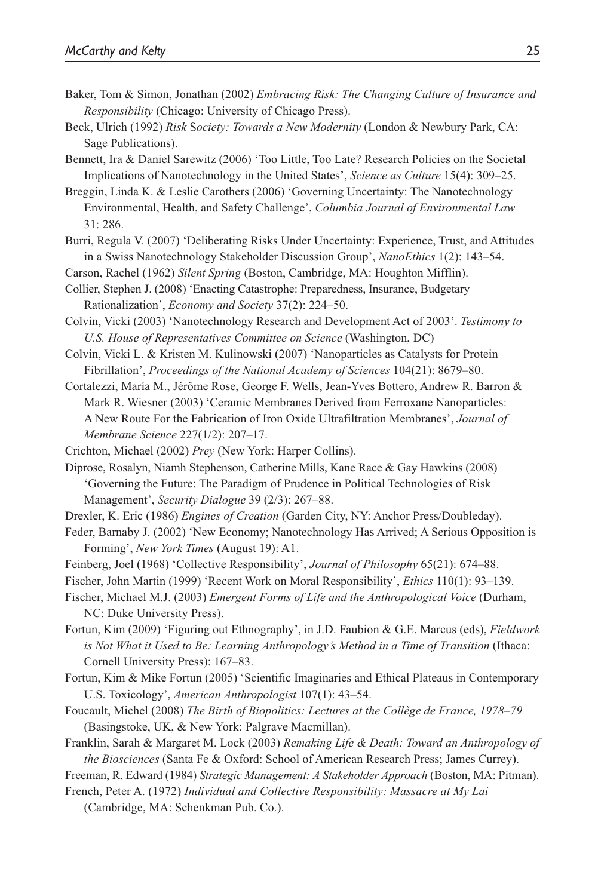- Baker, Tom & Simon, Jonathan (2002) *Embracing Risk: The Changing Culture of Insurance and Responsibility* (Chicago: University of Chicago Press).
- Beck, Ulrich (1992) *Risk* S*ociety: Towards a New Modernity* (London & Newbury Park, CA: Sage Publications).
- Bennett, Ira & Daniel Sarewitz (2006) 'Too Little, Too Late? Research Policies on the Societal Implications of Nanotechnology in the United States', *Science as Culture* 15(4): 309–25.

Breggin, Linda K. & Leslie Carothers (2006) 'Governing Uncertainty: The Nanotechnology Environmental, Health, and Safety Challenge', *Columbia Journal of Environmental Law* 31: 286.

Burri, Regula V. (2007) 'Deliberating Risks Under Uncertainty: Experience, Trust, and Attitudes in a Swiss Nanotechnology Stakeholder Discussion Group', *NanoEthics* 1(2): 143–54.

Carson, Rachel (1962) *Silent Spring* (Boston, Cambridge, MA: Houghton Mifflin).

- Collier, Stephen J. (2008) 'Enacting Catastrophe: Preparedness, Insurance, Budgetary Rationalization', *Economy and Society* 37(2): 224–50.
- Colvin, Vicki (2003) 'Nanotechnology Research and Development Act of 2003'. *Testimony to U.S. House of Representatives Committee on Science* (Washington, DC)

Colvin, Vicki L. & Kristen M. Kulinowski (2007) 'Nanoparticles as Catalysts for Protein Fibrillation', *Proceedings of the National Academy of Sciences* 104(21): 8679–80.

Cortalezzi, María M., Jérôme Rose, George F. Wells, Jean-Yves Bottero, Andrew R. Barron & Mark R. Wiesner (2003) 'Ceramic Membranes Derived from Ferroxane Nanoparticles: A New Route For the Fabrication of Iron Oxide Ultrafiltration Membranes', *Journal of Membrane Science* 227(1/2): 207–17.

Crichton, Michael (2002) *Prey* (New York: Harper Collins).

Diprose, Rosalyn, Niamh Stephenson, Catherine Mills, Kane Race & Gay Hawkins (2008) 'Governing the Future: The Paradigm of Prudence in Political Technologies of Risk Management', *Security Dialogue* 39 (2/3): 267–88.

Drexler, K. Eric (1986) *Engines of Creation* (Garden City, NY: Anchor Press/Doubleday).

Feder, Barnaby J. (2002) 'New Economy; Nanotechnology Has Arrived; A Serious Opposition is Forming', *New York Times* (August 19): A1.

- Feinberg, Joel (1968) 'Collective Responsibility', *Journal of Philosophy* 65(21): 674–88.
- Fischer, John Martin (1999) 'Recent Work on Moral Responsibility', *Ethics* 110(1): 93–139.

Fischer, Michael M.J. (2003) *Emergent Forms of Life and the Anthropological Voice* (Durham, NC: Duke University Press).

- Fortun, Kim (2009) 'Figuring out Ethnography', in J.D. Faubion & G.E. Marcus (eds), *Fieldwork*  is Not What it Used to Be: Learning Anthropology's Method in a Time of Transition (Ithaca: Cornell University Press): 167–83.
- Fortun, Kim & Mike Fortun (2005) 'Scientific Imaginaries and Ethical Plateaus in Contemporary U.S. Toxicology', *American Anthropologist* 107(1): 43–54.
- Foucault, Michel (2008) *The Birth of Biopolitics: Lectures at the Collège de France, 1978–79*  (Basingstoke, UK, & New York: Palgrave Macmillan).
- Franklin, Sarah & Margaret M. Lock (2003) *Remaking Life & Death: Toward an Anthropology of the Biosciences* (Santa Fe & Oxford: School of American Research Press; James Currey).
- Freeman, R. Edward (1984) *Strategic Management: A Stakeholder Approach* (Boston, MA: Pitman).
- French, Peter A. (1972) *Individual and Collective Responsibility: Massacre at My Lai*  (Cambridge, MA: Schenkman Pub. Co.).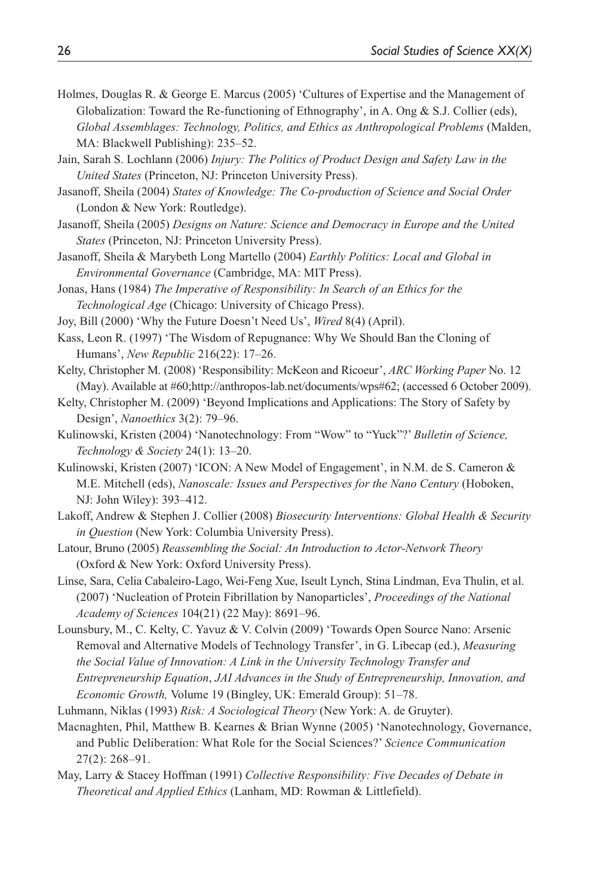- Holmes, Douglas R. & George E. Marcus (2005) 'Cultures of Expertise and the Management of Globalization: Toward the Re-functioning of Ethnography', in A. Ong & S.J. Collier (eds), *Global Assemblages: Technology, Politics, and Ethics as Anthropological Problems* (Malden, MA: Blackwell Publishing): 235–52.
- Jain, Sarah S. Lochlann (2006) *Injury: The Politics of Product Design and Safety Law in the United States* (Princeton, NJ: Princeton University Press).
- Jasanoff, Sheila (2004) *States of Knowledge: The Co-production of Science and Social Order*  (London & New York: Routledge).
- Jasanoff, Sheila (2005) *Designs on Nature: Science and Democracy in Europe and the United States* (Princeton, NJ: Princeton University Press).
- Jasanoff, Sheila & Marybeth Long Martello (2004) *Earthly Politics: Local and Global in Environmental Governance* (Cambridge, MA: MIT Press).
- Jonas, Hans (1984) *The Imperative of Responsibility: In Search of an Ethics for the Technological Age* (Chicago: University of Chicago Press).
- Joy, Bill (2000) 'Why the Future Doesn't Need Us', *Wired* 8(4) (April).
- Kass, Leon R. (1997) 'The Wisdom of Repugnance: Why We Should Ban the Cloning of Humans', *New Republic* 216(22): 17–26.
- Kelty, Christopher M. (2008) 'Responsibility: McKeon and Ricoeur', *ARC Working Paper* No. 12 (May). Available at #60;http://anthropos-lab.net/documents/wps#62; (accessed 6 October 2009).
- Kelty, Christopher M. (2009) 'Beyond Implications and Applications: The Story of Safety by Design', *Nanoethics* 3(2): 79–96.
- Kulinowski, Kristen (2004) 'Nanotechnology: From "Wow" to "Yuck"?' *Bulletin of Science, Technology & Society* 24(1): 13–20.
- Kulinowski, Kristen (2007) 'ICON: A New Model of Engagement', in N.M. de S. Cameron & M.E. Mitchell (eds), *Nanoscale: Issues and Perspectives for the Nano Century* (Hoboken, NJ: John Wiley): 393–412.
- Lakoff, Andrew & Stephen J. Collier (2008) *Biosecurity Interventions: Global Health & Security in Question* (New York: Columbia University Press).
- Latour, Bruno (2005) *Reassembling the Social: An Introduction to Actor-Network Theory*  (Oxford & New York: Oxford University Press).
- Linse, Sara, Celia Cabaleiro-Lago, Wei-Feng Xue, Iseult Lynch, Stina Lindman, Eva Thulin, et al. (2007) 'Nucleation of Protein Fibrillation by Nanoparticles', *Proceedings of the National Academy of Sciences* 104(21) (22 May): 8691–96.
- Lounsbury, M., C. Kelty, C. Yavuz & V. Colvin (2009) 'Towards Open Source Nano: Arsenic Removal and Alternative Models of Technology Transfer', in G. Libecap (ed.), *Measuring the Social Value of Innovation: A Link in the University Technology Transfer and Entrepreneurship Equation*, *JAI Advances in the Study of Entrepreneurship, Innovation, and Economic Growth,* Volume 19 (Bingley, UK: Emerald Group): 51–78.
- Luhmann, Niklas (1993) *Risk: A Sociological Theory* (New York: A. de Gruyter).
- Macnaghten, Phil, Matthew B. Kearnes & Brian Wynne (2005) 'Nanotechnology, Governance, and Public Deliberation: What Role for the Social Sciences?' *Science Communication* 27(2): 268–91.
- May, Larry & Stacey Hoffman (1991) *Collective Responsibility: Five Decades of Debate in Theoretical and Applied Ethics* (Lanham, MD: Rowman & Littlefield).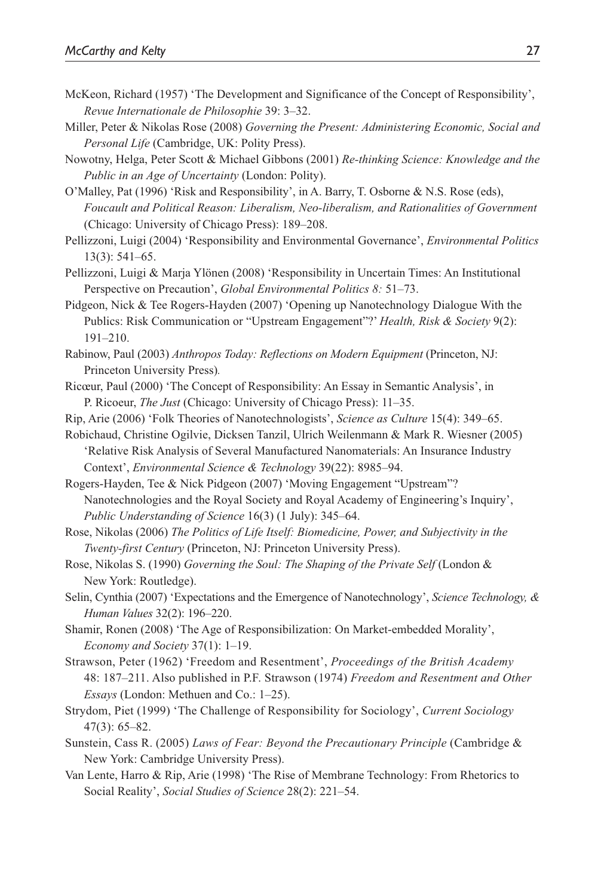- McKeon, Richard (1957) 'The Development and Significance of the Concept of Responsibility', *Revue Internationale de Philosophie* 39: 3–32.
- Miller, Peter & Nikolas Rose (2008) *Governing the Present: Administering Economic, Social and Personal Life* (Cambridge, UK: Polity Press).
- Nowotny, Helga, Peter Scott & Michael Gibbons (2001) *Re-thinking Science: Knowledge and the Public in an Age of Uncertainty* (London: Polity).
- O'Malley, Pat (1996) 'Risk and Responsibility', in A. Barry, T. Osborne & N.S. Rose (eds), *Foucault and Political Reason: Liberalism, Neo-liberalism, and Rationalities of Government* (Chicago: University of Chicago Press): 189–208.
- Pellizzoni, Luigi (2004) 'Responsibility and Environmental Governance', *Environmental Politics* 13(3): 541–65.
- Pellizzoni, Luigi & Marja Ylönen (2008) 'Responsibility in Uncertain Times: An Institutional Perspective on Precaution', *Global Environmental Politics 8:* 51–73.
- Pidgeon, Nick & Tee Rogers-Hayden (2007) 'Opening up Nanotechnology Dialogue With the Publics: Risk Communication or "Upstream Engagement"?' *Health, Risk & Society* 9(2): 191–210.
- Rabinow, Paul (2003) *Anthropos Today: Reflections on Modern Equipment* (Princeton, NJ: Princeton University Press)*.*
- Ricœur, Paul (2000) 'The Concept of Responsibility: An Essay in Semantic Analysis', in P. Ricoeur, *The Just* (Chicago: University of Chicago Press): 11–35.
- Rip, Arie (2006) 'Folk Theories of Nanotechnologists', *Science as Culture* 15(4): 349–65.
- Robichaud, Christine Ogilvie, Dicksen Tanzil, Ulrich Weilenmann & Mark R. Wiesner (2005) 'Relative Risk Analysis of Several Manufactured Nanomaterials: An Insurance Industry Context', *Environmental Science & Technology* 39(22): 8985–94.
- Rogers-Hayden, Tee & Nick Pidgeon (2007) 'Moving Engagement "Upstream"? Nanotechnologies and the Royal Society and Royal Academy of Engineering's Inquiry', *Public Understanding of Science* 16(3) (1 July): 345–64.
- Rose, Nikolas (2006) *The Politics of Life Itself: Biomedicine, Power, and Subjectivity in the Twenty-first Century* (Princeton, NJ: Princeton University Press).
- Rose, Nikolas S. (1990) *Governing the Soul: The Shaping of the Private Self* (London & New York: Routledge).
- Selin, Cynthia (2007) 'Expectations and the Emergence of Nanotechnology', *Science Technology, & Human Values* 32(2): 196–220.
- Shamir, Ronen (2008) 'The Age of Responsibilization: On Market-embedded Morality', *Economy and Society* 37(1): 1–19.
- Strawson, Peter (1962) 'Freedom and Resentment', *Proceedings of the British Academy* 48: 187–211. Also published in P.F. Strawson (1974) *Freedom and Resentment and Other Essays* (London: Methuen and Co.: 1–25).
- Strydom, Piet (1999) 'The Challenge of Responsibility for Sociology', *Current Sociology* 47(3): 65–82.
- Sunstein, Cass R. (2005) *Laws of Fear: Beyond the Precautionary Principle* (Cambridge & New York: Cambridge University Press).
- Van Lente, Harro & Rip, Arie (1998) 'The Rise of Membrane Technology: From Rhetorics to Social Reality', *Social Studies of Science* 28(2): 221–54.